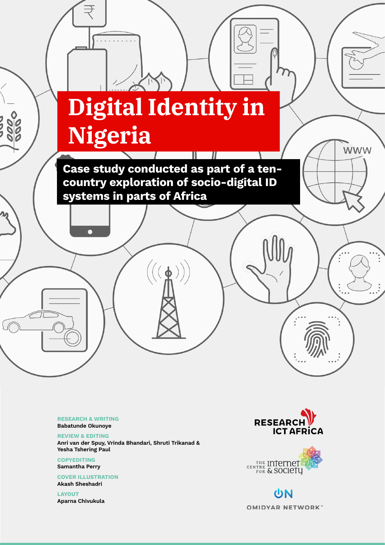# **Digital Identity in Nigeria**

 $\sim$  1  $\sim$  1  $\sim$  1  $\sim$  1  $\sim$  1  $\sim$  1  $\sim$  1  $\sim$  1  $\sim$  1  $\sim$  1  $\sim$  1  $\sim$  1  $\sim$  1  $\sim$  1  $\sim$  1  $\sim$  1  $\sim$  1  $\sim$  1  $\sim$  1  $\sim$  1  $\sim$  1  $\sim$  1  $\sim$  1  $\sim$  1  $\sim$  1  $\sim$  1  $\sim$  1  $\sim$  1  $\sim$  1  $\sim$  1  $\sim$  1  $\sim$ 

Case study conducted as part of a tencountry exploration of socio-digital ID systems in parts of Africa

 $((\phi))$ 

RESEARCH & WRITING Babatunde Okunoye

REVIEW & EDITING Anri van der Spuy, Vrinda Bhandari, Shruti Trikanad & Yesha Tshering Paul

**COPYEDITING** Samantha Perry

COVER ILLUSTRATION Akash Sheshadri

LAYOUT Aparna Chivukula



**WWW** 



UN **OMIDYAR NETWORK**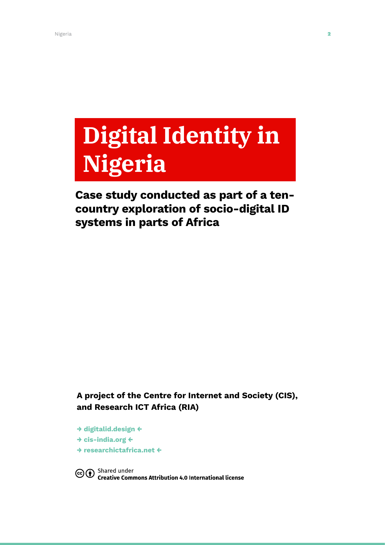# **Digital Identity in Nigeria**

# Case study conducted as part of a tencountry exploration of socio-digital ID systems in parts of Africa

A project of the Centre for Internet and Society (CIS), and Research ICT Africa (RIA)

→ [digitalid.design](http://digitalid.design) ← → [cis-india.org](http://cis-india.org) ← → [researchictafrica.net](http://researchictafrica.net) ←

Co <sup>Shared</sup> under<br>Commons Attribution 4.0 International license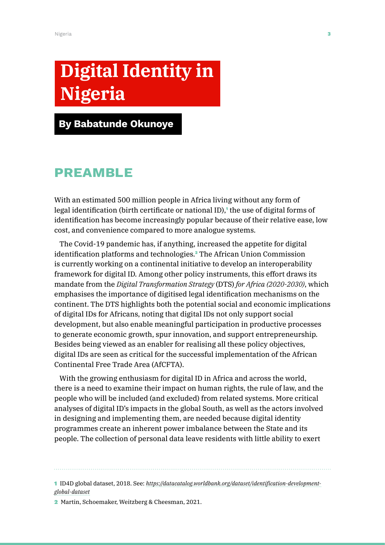# **Digital Identity in Nigeria**

By Babatunde Okunoye

# Preamble

With an estimated 500 million people in Africa living without any form of legal identification (birth certificate or national ID),<sup>1</sup> the use of digital forms of identification has become increasingly popular because of their relative ease, low cost, and convenience compared to more analogue systems.

The Covid-19 pandemic has, if anything, increased the appetite for digital identification platforms and technologies.<sup>2</sup> The African Union Commission is currently working on a continental initiative to develop an interoperability framework for digital ID. Among other policy instruments, this effort draws its mandate from the *Digital Transformation Strategy* (DTS) *for Africa (2020-2030)*, which emphasises the importance of digitised legal identification mechanisms on the continent. The DTS highlights both the potential social and economic implications of digital IDs for Africans, noting that digital IDs not only support social development, but also enable meaningful participation in productive processes to generate economic growth, spur innovation, and support entrepreneurship. Besides being viewed as an enabler for realising all these policy objectives, digital IDs are seen as critical for the successful implementation of the African Continental Free Trade Area (AfCFTA).

With the growing enthusiasm for digital ID in Africa and across the world, there is a need to examine their impact on human rights, the rule of law, and the people who will be included (and excluded) from related systems. More critical analyses of digital ID's impacts in the global South, as well as the actors involved in designing and implementing them, are needed because digital identity programmes create an inherent power imbalance between the State and its people. The collection of personal data leave residents with little ability to exert

1 ID4D global dataset, 2018. See: *[https://datacatalog.worldbank.org/dataset/identification-development](https://datacatalog.worldbank.org/dataset/identification-development-global-dataset)[global-dataset](https://datacatalog.worldbank.org/dataset/identification-development-global-dataset)*

2 Martin, Schoemaker, Weitzberg & Cheesman, 2021.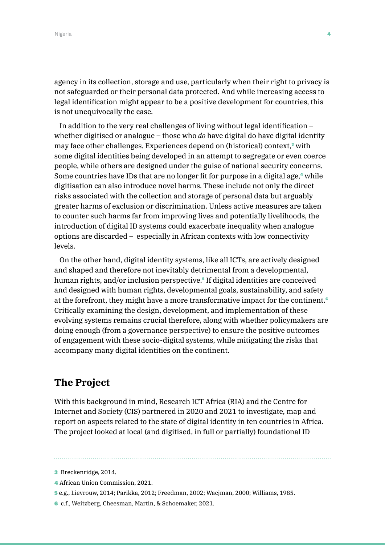agency in its collection, storage and use, particularly when their right to privacy is not safeguarded or their personal data protected. And while increasing access to legal identification might appear to be a positive development for countries, this is not unequivocally the case.

In addition to the very real challenges of living without legal identification – whether digitised or analogue – those who *do* have digital do have digital identity may face other challenges. Experiences depend on (historical) context,<sup>3</sup> with some digital identities being developed in an attempt to segregate or even coerce people, while others are designed under the guise of national security concerns. Some countries have IDs that are no longer fit for purpose in a digital age,<sup>4</sup> while digitisation can also introduce novel harms. These include not only the direct risks associated with the collection and storage of personal data but arguably greater harms of exclusion or discrimination. Unless active measures are taken to counter such harms far from improving lives and potentially livelihoods, the introduction of digital ID systems could exacerbate inequality when analogue options are discarded – especially in African contexts with low connectivity levels.

On the other hand, digital identity systems, like all ICTs, are actively designed and shaped and therefore not inevitably detrimental from a developmental, human rights, and/or inclusion perspective.<sup>5</sup> If digital identities are conceived and designed with human rights, developmental goals, sustainability, and safety at the forefront, they might have a more transformative impact for the continent.<sup>6</sup> Critically examining the design, development, and implementation of these evolving systems remains crucial therefore, along with whether policymakers are doing enough (from a governance perspective) to ensure the positive outcomes of engagement with these socio-digital systems, while mitigating the risks that accompany many digital identities on the continent.

## **The Project**

With this background in mind, Research ICT Africa (RIA) and the Centre for Internet and Society (CIS) partnered in 2020 and 2021 to investigate, map and report on aspects related to the state of digital identity in ten countries in Africa. The project looked at local (and digitised, in full or partially) foundational ID

- 5 e.g., Lievrouw, 2014; Parikka, 2012; Freedman, 2002; Wacjman, 2000; Williams, 1985.
- 6 c.f., Weitzberg, Cheesman, Martin, & Schoemaker, 2021.

<sup>3</sup> Breckenridge, 2014.

<sup>4</sup> African Union Commission, 2021.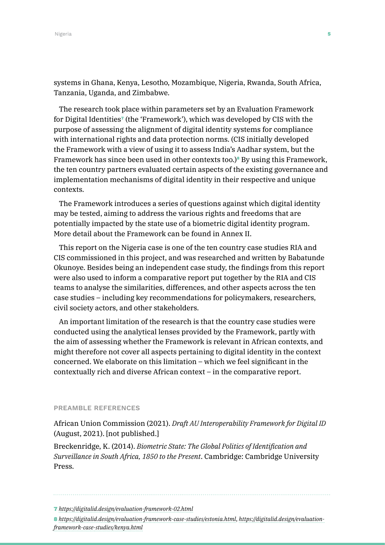systems in Ghana, Kenya, Lesotho, Mozambique, Nigeria, Rwanda, South Africa, Tanzania, Uganda, and Zimbabwe.

The research took place within parameters set by an Evaluation Framework for Digital Identities<sup>7</sup> (the 'Framework'), which was developed by CIS with the purpose of assessing the alignment of digital identity systems for compliance with international rights and data protection norms. (CIS initially developed the Framework with a view of using it to assess India's Aadhar system, but the Framework has since been used in other contexts too.)<sup>8</sup> By using this Framework, the ten country partners evaluated certain aspects of the existing governance and implementation mechanisms of digital identity in their respective and unique contexts.

The Framework introduces a series of questions against which digital identity may be tested, aiming to address the various rights and freedoms that are potentially impacted by the state use of a biometric digital identity program. More detail about the Framework can be found in Annex II.

This report on the Nigeria case is one of the ten country case studies RIA and CIS commissioned in this project, and was researched and written by Babatunde Okunoye. Besides being an independent case study, the findings from this report were also used to inform a comparative report put together by the RIA and CIS teams to analyse the similarities, differences, and other aspects across the ten case studies – including key recommendations for policymakers, researchers, civil society actors, and other stakeholders.

An important limitation of the research is that the country case studies were conducted using the analytical lenses provided by the Framework, partly with the aim of assessing whether the Framework is relevant in African contexts, and might therefore not cover all aspects pertaining to digital identity in the context concerned. We elaborate on this limitation – which we feel significant in the contextually rich and diverse African context – in the comparative report.

#### PREAMBLE REFERENCES

African Union Commission (2021). *Draft AU Interoperability Framework for Digital ID* (August, 2021). [not published.]

Breckenridge, K. (2014). *Biometric State: The Global Politics of Identification and Surveillance in South Africa, 1850 to the Present*. Cambridge: Cambridge University Press.

<sup>7</sup> *<https://digitalid.design/evaluation-framework-02.html>*

<sup>8</sup> *<https://digitalid.design/evaluation-framework-case-studies/estonia.html>*, *[https://digitalid.design/evaluation](https://digitalid.design/evaluation-framework-case-studies/kenya.html)[framework-case-studies/kenya.html](https://digitalid.design/evaluation-framework-case-studies/kenya.html)*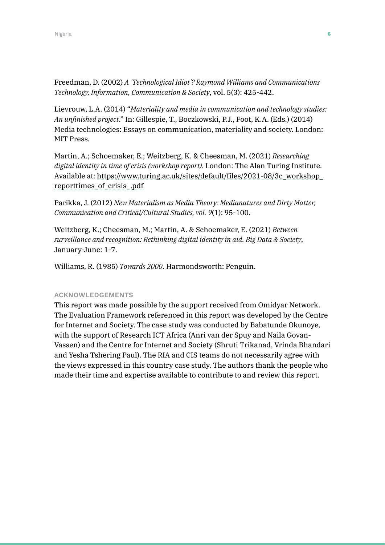Freedman, D. (2002) *A 'Technological Idiot'? Raymond Williams and Communications Technology, Information, Communication & Society*, vol. 5(3): 425-442.

Lievrouw, L.A. (2014) "*Materiality and media in communication and technology studies: An unfinished project*." In: Gillespie, T., Boczkowski, P.J., Foot, K.A. (Eds.) (2014) Media technologies: Essays on communication, materiality and society. London: MIT Press.

Martin, A.; Schoemaker, E.; Weitzberg, K. & Cheesman, M. (2021) *Researching digital identity in time of crisis (workshop report).* London: The Alan Turing Institute. Available at: [https://www.turing.ac.uk/sites/default/files/2021-08/3c\\_workshop\\_](https://www.turing.ac.uk/sites/default/files/2021-08/3c_workshop_reporttimes_of_crisis_.pdf) [reporttimes\\_of\\_crisis\\_.pdf](https://www.turing.ac.uk/sites/default/files/2021-08/3c_workshop_reporttimes_of_crisis_.pdf)

Parikka, J. (2012) *New Materialism as Media Theory: Medianatures and Dirty Matter, Communication and Critical/Cultural Studies, vol. 9*(1): 95-100.

Weitzberg, K.; Cheesman, M.; Martin, A. & Schoemaker, E. (2021) *Between surveillance and recognition: Rethinking digital identity in aid. Big Data & Society*, January-June: 1-7.

Williams, R. (1985) *Towards 2000*. Harmondsworth: Penguin.

#### ACKNOWLEDGEMENTS

This report was made possible by the support received from Omidyar Network. The Evaluation Framework referenced in this report was developed by the Centre for Internet and Society. The case study was conducted by Babatunde Okunoye, with the support of Research ICT Africa (Anri van der Spuy and Naila Govan-Vassen) and the Centre for Internet and Society (Shruti Trikanad, Vrinda Bhandari and Yesha Tshering Paul). The RIA and CIS teams do not necessarily agree with the views expressed in this country case study. The authors thank the people who made their time and expertise available to contribute to and review this report.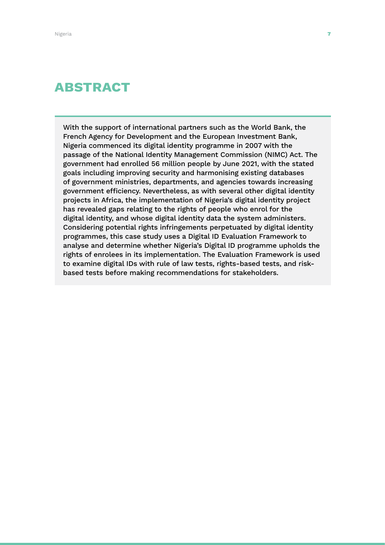# ABSTRACT

With the support of international partners such as the World Bank, the French Agency for Development and the European Investment Bank, Nigeria commenced its digital identity programme in 2007 with the passage of the National Identity Management Commission (NIMC) Act. The government had enrolled 56 million people by June 2021, with the stated goals including improving security and harmonising existing databases of government ministries, departments, and agencies towards increasing government efficiency. Nevertheless, as with several other digital identity projects in Africa, the implementation of Nigeria's digital identity project has revealed gaps relating to the rights of people who enrol for the digital identity, and whose digital identity data the system administers. Considering potential rights infringements perpetuated by digital identity programmes, this case study uses a Digital ID Evaluation Framework to analyse and determine whether Nigeria's Digital ID programme upholds the rights of enrolees in its implementation. The Evaluation Framework is used to examine digital IDs with rule of law tests, rights-based tests, and riskbased tests before making recommendations for stakeholders.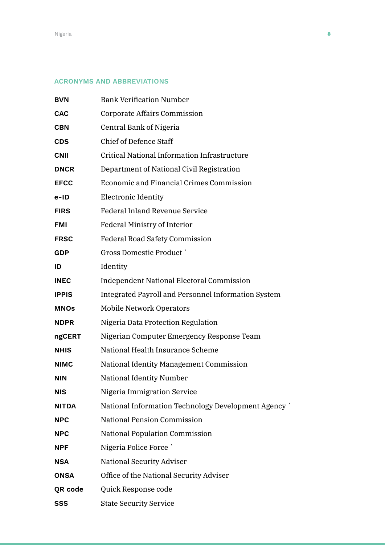#### ACRONYMS AND ABBREVIATIONS

| <b>BVN</b>   | <b>Bank Verification Number</b>                     |
|--------------|-----------------------------------------------------|
| <b>CAC</b>   | Corporate Affairs Commission                        |
| <b>CBN</b>   | Central Bank of Nigeria                             |
| <b>CDS</b>   | <b>Chief of Defence Staff</b>                       |
| <b>CNII</b>  | Critical National Information Infrastructure        |
| <b>DNCR</b>  | Department of National Civil Registration           |
| <b>EFCC</b>  | Economic and Financial Crimes Commission            |
| e-ID         | <b>Electronic Identity</b>                          |
| <b>FIRS</b>  | <b>Federal Inland Revenue Service</b>               |
| <b>FMI</b>   | <b>Federal Ministry of Interior</b>                 |
| <b>FRSC</b>  | <b>Federal Road Safety Commission</b>               |
| <b>GDP</b>   | <b>Gross Domestic Product `</b>                     |
| ID           | Identity                                            |
| <b>INEC</b>  | <b>Independent National Electoral Commission</b>    |
| <b>IPPIS</b> | Integrated Payroll and Personnel Information System |
| <b>MNOs</b>  | <b>Mobile Network Operators</b>                     |
| <b>NDPR</b>  | Nigeria Data Protection Regulation                  |
| ngCERT       | Nigerian Computer Emergency Response Team           |
| <b>NHIS</b>  | National Health Insurance Scheme                    |
| <b>NIMC</b>  | National Identity Management Commission             |
| <b>NIN</b>   | <b>National Identity Number</b>                     |
| NIS          | Nigeria Immigration Service                         |
| NITDA        | National Information Technology Development Agency  |
| <b>NPC</b>   | <b>National Pension Commission</b>                  |
| <b>NPC</b>   | <b>National Population Commission</b>               |
| <b>NPF</b>   | Nigeria Police Force `                              |
| NSA          | <b>National Security Adviser</b>                    |
| <b>ONSA</b>  | Office of the National Security Adviser             |
| QR code      | Quick Response code                                 |
| SSS          | <b>State Security Service</b>                       |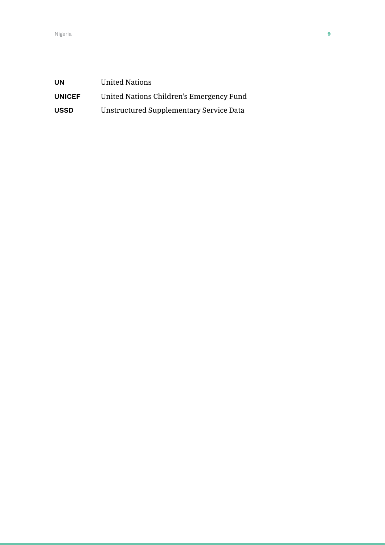| <b>UN</b>     | <b>United Nations</b>                    |
|---------------|------------------------------------------|
| <b>UNICEF</b> | United Nations Children's Emergency Fund |
| <b>USSD</b>   | Unstructured Supplementary Service Data  |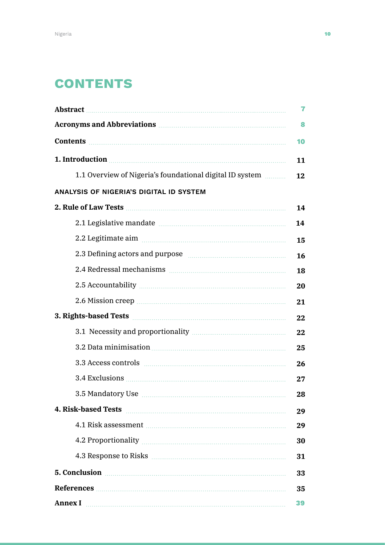# **CONTENTS**

|                                                                                                                                                                                                                                      | 7  |  |
|--------------------------------------------------------------------------------------------------------------------------------------------------------------------------------------------------------------------------------------|----|--|
|                                                                                                                                                                                                                                      | 8  |  |
| Contents <b>contents contents contents contents contents contents contents contents</b>                                                                                                                                              | 10 |  |
| 1. Introduction <b>contained a set of the set of the set of the set of the set of the set of the set of the set of the set of the set of the set of the set of the set of the set of the set of the set of the set of the set of</b> | 11 |  |
| 1.1 Overview of Nigeria's foundational digital ID system                                                                                                                                                                             | 12 |  |
| <b>ANALYSIS OF NIGERIA'S DIGITAL ID SYSTEM</b>                                                                                                                                                                                       |    |  |
|                                                                                                                                                                                                                                      | 14 |  |
| 2.1 Legislative mandate manual contract and a series of the manual contract of the series of the series of the                                                                                                                       | 14 |  |
| 2.2 Legitimate aim manufacture et al.                                                                                                                                                                                                | 15 |  |
| 2.3 Defining actors and purpose manufactured and purpose and purpose and purpose and all all all all all all a                                                                                                                       | 16 |  |
|                                                                                                                                                                                                                                      | 18 |  |
|                                                                                                                                                                                                                                      | 20 |  |
|                                                                                                                                                                                                                                      | 21 |  |
| 3. Rights-based Tests [100] March 2014 of the March 2014 of the March 2014 of the March 2014 of the March 2014 of the March 2014 of the March 2014 of the March 2014 of the March 2014 of the March 2014 of the March 2014 of        |    |  |
|                                                                                                                                                                                                                                      | 22 |  |
|                                                                                                                                                                                                                                      | 25 |  |
|                                                                                                                                                                                                                                      | 26 |  |
|                                                                                                                                                                                                                                      | 27 |  |
| 3.5 Mandatory Use                                                                                                                                                                                                                    | 28 |  |
| <b>4. Risk-based Tests</b>                                                                                                                                                                                                           | 29 |  |
|                                                                                                                                                                                                                                      | 29 |  |
| 4.2 Proportionality Manual Communications and the Proportionality Manual Communications and the Proportionality                                                                                                                      | 30 |  |
|                                                                                                                                                                                                                                      | 31 |  |
| 5. Conclusion <b>Executive Conclusion</b>                                                                                                                                                                                            | 33 |  |
|                                                                                                                                                                                                                                      |    |  |
| <b>Annex I</b>                                                                                                                                                                                                                       |    |  |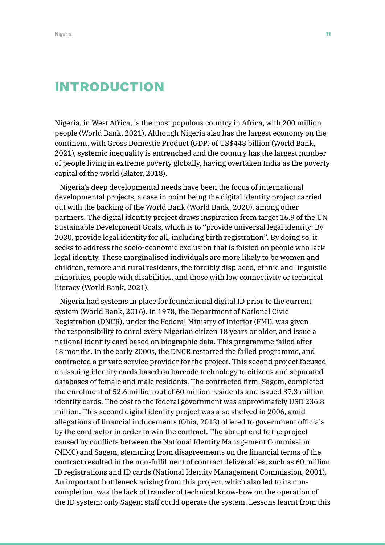# INTRODUCTION

Nigeria, in West Africa, is the most populous country in Africa, with 200 million people (World Bank, 2021). Although Nigeria also has the largest economy on the continent, with Gross Domestic Product (GDP) of US\$448 billion (World Bank, 2021), systemic inequality is entrenched and the country has the largest number of people living in extreme poverty globally, having overtaken India as the poverty capital of the world (Slater, 2018).

Nigeria's deep developmental needs have been the focus of international developmental projects, a case in point being the digital identity project carried out with the backing of the World Bank (World Bank, 2020), among other partners. The digital identity project draws inspiration from target 16.9 of the UN Sustainable Development Goals, which is to ''provide universal legal identity: By 2030, provide legal identity for all, including birth registration''. By doing so, it seeks to address the socio-economic exclusion that is foisted on people who lack legal identity. These marginalised individuals are more likely to be women and children, remote and rural residents, the forcibly displaced, ethnic and linguistic minorities, people with disabilities, and those with low connectivity or technical literacy (World Bank, 2021).

Nigeria had systems in place for foundational digital ID prior to the current system (World Bank, 2016). In 1978, the Department of National Civic Registration (DNCR), under the Federal Ministry of Interior (FMI), was given the responsibility to enrol every Nigerian citizen 18 years or older, and issue a national identity card based on biographic data. This programme failed after 18 months. In the early 2000s, the DNCR restarted the failed programme, and contracted a private service provider for the project. This second project focused on issuing identity cards based on barcode technology to citizens and separated databases of female and male residents. The contracted firm, Sagem, completed the enrolment of 52.6 million out of 60 million residents and issued 37.3 million identity cards. The cost to the federal government was approximately USD 236.8 million. This second digital identity project was also shelved in 2006, amid allegations of financial inducements (Ohia, 2012) offered to government officials by the contractor in order to win the contract. The abrupt end to the project caused by conflicts between the National Identity Management Commission (NIMC) and Sagem, stemming from disagreements on the financial terms of the contract resulted in the non-fulfilment of contract deliverables, such as 60 million ID registrations and ID cards (National Identity Management Commission, 2001). An important bottleneck arising from this project, which also led to its noncompletion, was the lack of transfer of technical know-how on the operation of the ID system; only Sagem staff could operate the system. Lessons learnt from this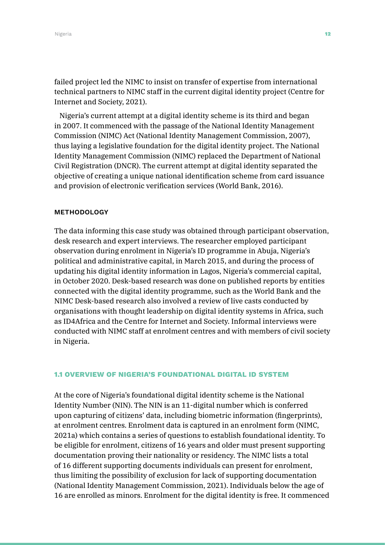failed project led the NIMC to insist on transfer of expertise from international technical partners to NIMC staff in the current digital identity project (Centre for Internet and Society, 2021).

Nigeria's current attempt at a digital identity scheme is its third and began in 2007. It commenced with the passage of the National Identity Management Commission (NIMC) Act (National Identity Management Commission, 2007), thus laying a legislative foundation for the digital identity project. The National Identity Management Commission (NIMC) replaced the Department of National Civil Registration (DNCR). The current attempt at digital identity separated the objective of creating a unique national identification scheme from card issuance and provision of electronic verification services (World Bank, 2016).

#### METHODOLOGY

The data informing this case study was obtained through participant observation, desk research and expert interviews. The researcher employed participant observation during enrolment in Nigeria's ID programme in Abuja, Nigeria's political and administrative capital, in March 2015, and during the process of updating his digital identity information in Lagos, Nigeria's commercial capital, in October 2020. Desk-based research was done on published reports by entities connected with the digital identity programme, such as the World Bank and the NIMC Desk-based research also involved a review of live casts conducted by organisations with thought leadership on digital identity systems in Africa, such as ID4Africa and the Centre for Internet and Society. Informal interviews were conducted with NIMC staff at enrolment centres and with members of civil society in Nigeria.

#### 1.1 OVERVIEW OF NIGERIA'S FOUNDATIONAL DIGITAL ID SYSTEM

At the core of Nigeria's foundational digital identity scheme is the National Identity Number (NIN). The NIN is an 11-digital number which is conferred upon capturing of citizens' data, including biometric information (fingerprints), at enrolment centres. Enrolment data is captured in an enrolment form (NIMC, 2021a) which contains a series of questions to establish foundational identity. To be eligible for enrolment, citizens of 16 years and older must present supporting documentation proving their nationality or residency. The NIMC lists a total of 16 different supporting documents individuals can present for enrolment, thus limiting the possibility of exclusion for lack of supporting documentation (National Identity Management Commission, 2021). Individuals below the age of 16 are enrolled as minors. Enrolment for the digital identity is free. It commenced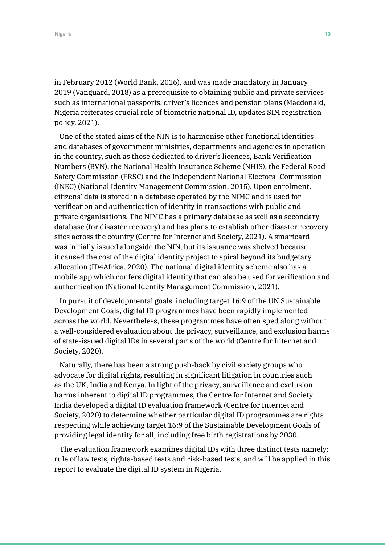in February 2012 (World Bank, 2016), and was made mandatory in January 2019 (Vanguard, 2018) as a prerequisite to obtaining public and private services such as international passports, driver's licences and pension plans (Macdonald, Nigeria reiterates crucial role of biometric national ID, updates SIM registration policy, 2021).

One of the stated aims of the NIN is to harmonise other functional identities and databases of government ministries, departments and agencies in operation in the country, such as those dedicated to driver's licences, Bank Verification Numbers (BVN), the National Health Insurance Scheme (NHIS), the Federal Road Safety Commission (FRSC) and the Independent National Electoral Commission (INEC) (National Identity Management Commission, 2015). Upon enrolment, citizens' data is stored in a database operated by the NIMC and is used for verification and authentication of identity in transactions with public and private organisations. The NIMC has a primary database as well as a secondary database (for disaster recovery) and has plans to establish other disaster recovery sites across the country (Centre for Internet and Society, 2021). A smartcard was initially issued alongside the NIN, but its issuance was shelved because it caused the cost of the digital identity project to spiral beyond its budgetary allocation (ID4Africa, 2020). The national digital identity scheme also has a mobile app which confers digital identity that can also be used for verification and authentication (National Identity Management Commission, 2021).

In pursuit of developmental goals, including target 16:9 of the UN Sustainable Development Goals, digital ID programmes have been rapidly implemented across the world. Nevertheless, these programmes have often sped along without a well-considered evaluation about the privacy, surveillance, and exclusion harms of state-issued digital IDs in several parts of the world (Centre for Internet and Society, 2020).

Naturally, there has been a strong push-back by civil society groups who advocate for digital rights, resulting in significant litigation in countries such as the UK, India and Kenya. In light of the privacy, surveillance and exclusion harms inherent to digital ID programmes, the Centre for Internet and Society India developed a digital ID evaluation framework (Centre for Internet and Society, 2020) to determine whether particular digital ID programmes are rights respecting while achieving target 16:9 of the Sustainable Development Goals of providing legal identity for all, including free birth registrations by 2030.

The evaluation framework examines digital IDs with three distinct tests namely: rule of law tests, rights-based tests and risk-based tests, and will be applied in this report to evaluate the digital ID system in Nigeria.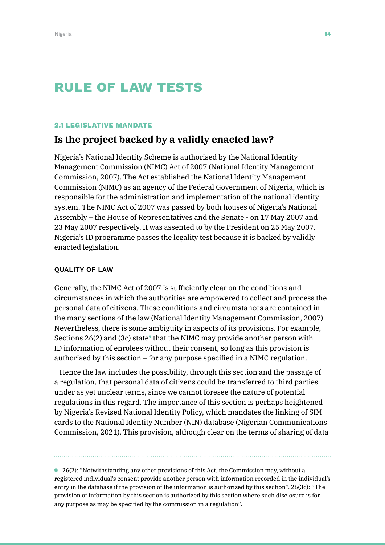# RULE OF LAW TESTS

#### 2.1 LEGISLATIVE MANDATE

## **Is the project backed by a validly enacted law?**

Nigeria's National Identity Scheme is authorised by the National Identity Management Commission (NIMC) Act of 2007 (National Identity Management Commission, 2007). The Act established the National Identity Management Commission (NIMC) as an agency of the Federal Government of Nigeria, which is responsible for the administration and implementation of the national identity system. The NIMC Act of 2007 was passed by both houses of Nigeria's National Assembly – the House of Representatives and the Senate - on 17 May 2007 and 23 May 2007 respectively. It was assented to by the President on 25 May 2007. Nigeria's ID programme passes the legality test because it is backed by validly enacted legislation.

#### QUALITY OF LAW

Generally, the NIMC Act of 2007 is sufficiently clear on the conditions and circumstances in which the authorities are empowered to collect and process the personal data of citizens. These conditions and circumstances are contained in the many sections of the law (National Identity Management Commission, 2007). Nevertheless, there is some ambiguity in aspects of its provisions. For example, Sections  $26(2)$  and  $(3c)$  state<sup>®</sup> that the NIMC may provide another person with ID information of enrolees without their consent, so long as this provision is authorised by this section – for any purpose specified in a NIMC regulation.

Hence the law includes the possibility, through this section and the passage of a regulation, that personal data of citizens could be transferred to third parties under as yet unclear terms, since we cannot foresee the nature of potential regulations in this regard. The importance of this section is perhaps heightened by Nigeria's Revised National Identity Policy, which mandates the linking of SIM cards to the National Identity Number (NIN) database (Nigerian Communications Commission, 2021). This provision, although clear on the terms of sharing of data

9 26(2): ''Notwithstanding any other provisions of this Act, the Commission may, without a registered individual's consent provide another person with information recorded in the individual's entry in the database if the provision of the information is authorized by this section''. 26(3c): ''The provision of information by this section is authorized by this section where such disclosure is for any purpose as may be specified by the commission in a regulation''.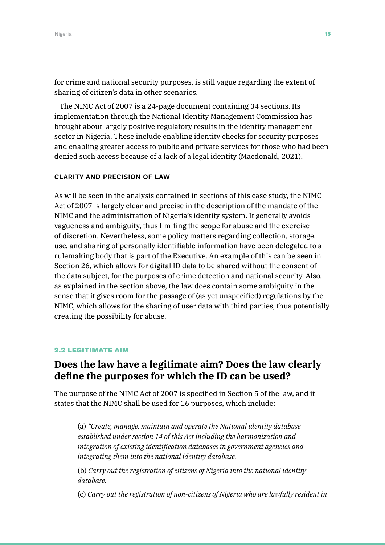for crime and national security purposes, is still vague regarding the extent of sharing of citizen's data in other scenarios.

The NIMC Act of 2007 is a 24-page document containing 34 sections. Its implementation through the National Identity Management Commission has brought about largely positive regulatory results in the identity management sector in Nigeria. These include enabling identity checks for security purposes and enabling greater access to public and private services for those who had been denied such access because of a lack of a legal identity (Macdonald, 2021).

#### CLARITY AND PRECISION OF LAW

As will be seen in the analysis contained in sections of this case study, the NIMC Act of 2007 is largely clear and precise in the description of the mandate of the NIMC and the administration of Nigeria's identity system. It generally avoids vagueness and ambiguity, thus limiting the scope for abuse and the exercise of discretion. Nevertheless, some policy matters regarding collection, storage, use, and sharing of personally identifiable information have been delegated to a rulemaking body that is part of the Executive. An example of this can be seen in Section 26, which allows for digital ID data to be shared without the consent of the data subject, for the purposes of crime detection and national security. Also, as explained in the section above, the law does contain some ambiguity in the sense that it gives room for the passage of (as yet unspecified) regulations by the NIMC, which allows for the sharing of user data with third parties, thus potentially creating the possibility for abuse.

#### 2.2 LEGITIMATE AIM

## **Does the law have a legitimate aim? Does the law clearly define the purposes for which the ID can be used?**

The purpose of the NIMC Act of 2007 is specified in Section 5 of the law, and it states that the NIMC shall be used for 16 purposes, which include:

(a) *"Create, manage, maintain and operate the National identity database established under section 14 of this Act including the harmonization and integration of existing identification databases in government agencies and integrating them into the national identity database.* 

(b) *Carry out the registration of citizens of Nigeria into the national identity database.* 

(c) *Carry out the registration of non-citizens of Nigeria who are lawfully resident in*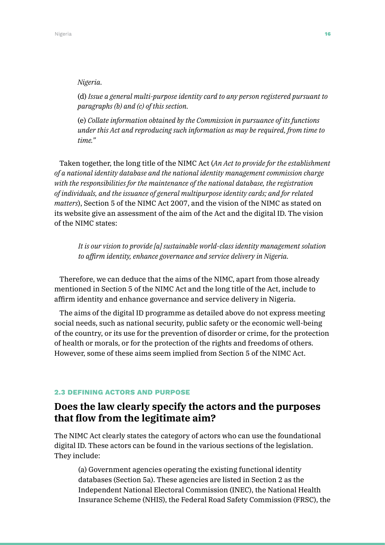#### *Nigeria.*

(d) *Issue a general multi-purpose identity card to any person registered pursuant to paragraphs (b) and (c) of this section.*

(e) *Collate information obtained by the Commission in pursuance of its functions under this Act and reproducing such information as may be required, from time to time."*

Taken together, the long title of the NIMC Act (*An Act to provide for the establishment of a national identity database and the national identity management commission charge with the responsibilities for the maintenance of the national database, the registration of individuals, and the issuance of general multipurpose identity cards; and for related matters*), Section 5 of the NIMC Act 2007, and the vision of the NIMC as stated on its website give an assessment of the aim of the Act and the digital ID. The vision of the NIMC states:

*It is our vision to provide [a] sustainable world-class identity management solution to affirm identity, enhance governance and service delivery in Nigeria.*

Therefore, we can deduce that the aims of the NIMC, apart from those already mentioned in Section 5 of the NIMC Act and the long title of the Act, include to affirm identity and enhance governance and service delivery in Nigeria.

The aims of the digital ID programme as detailed above do not express meeting social needs, such as national security, public safety or the economic well-being of the country, or its use for the prevention of disorder or crime, for the protection of health or morals, or for the protection of the rights and freedoms of others. However, some of these aims seem implied from Section 5 of the NIMC Act.

#### 2.3 DEFINING ACTORS AND PURPOSE

### **Does the law clearly specify the actors and the purposes that flow from the legitimate aim?**

The NIMC Act clearly states the category of actors who can use the foundational digital ID. These actors can be found in the various sections of the legislation. They include:

(a) Government agencies operating the existing functional identity databases (Section 5a). These agencies are listed in Section 2 as the Independent National Electoral Commission (INEC), the National Health Insurance Scheme (NHIS), the Federal Road Safety Commission (FRSC), the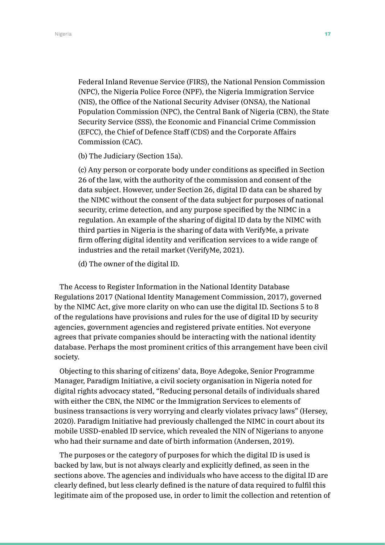Federal Inland Revenue Service (FIRS), the National Pension Commission (NPC), the Nigeria Police Force (NPF), the Nigeria Immigration Service (NIS), the Office of the National Security Adviser (ONSA), the National Population Commission (NPC), the Central Bank of Nigeria (CBN), the State Security Service (SSS), the Economic and Financial Crime Commission (EFCC), the Chief of Defence Staff (CDS) and the Corporate Affairs Commission (CAC).

(b) The Judiciary (Section 15a).

(c) Any person or corporate body under conditions as specified in Section 26 of the law, with the authority of the commission and consent of the data subject. However, under Section 26, digital ID data can be shared by the NIMC without the consent of the data subject for purposes of national security, crime detection, and any purpose specified by the NIMC in a regulation. An example of the sharing of digital ID data by the NIMC with third parties in Nigeria is the sharing of data with VerifyMe, a private firm offering digital identity and verification services to a wide range of industries and the retail market (VerifyMe, 2021).

(d) The owner of the digital ID.

The Access to Register Information in the National Identity Database Regulations 2017 (National Identity Management Commission, 2017), governed by the NIMC Act, give more clarity on who can use the digital ID. Sections 5 to 8 of the regulations have provisions and rules for the use of digital ID by security agencies, government agencies and registered private entities. Not everyone agrees that private companies should be interacting with the national identity database. Perhaps the most prominent critics of this arrangement have been civil society.

Objecting to this sharing of citizens' data, Boye Adegoke, Senior Programme Manager, Paradigm Initiative, a civil society organisation in Nigeria noted for digital rights advocacy stated, "Reducing personal details of individuals shared with either the CBN, the NIMC or the Immigration Services to elements of business transactions is very worrying and clearly violates privacy laws" (Hersey, 2020). Paradigm Initiative had previously challenged the NIMC in court about its mobile USSD-enabled ID service, which revealed the NIN of Nigerians to anyone who had their surname and date of birth information (Andersen, 2019).

The purposes or the category of purposes for which the digital ID is used is backed by law, but is not always clearly and explicitly defined, as seen in the sections above. The agencies and individuals who have access to the digital ID are clearly defined, but less clearly defined is the nature of data required to fulfil this legitimate aim of the proposed use, in order to limit the collection and retention of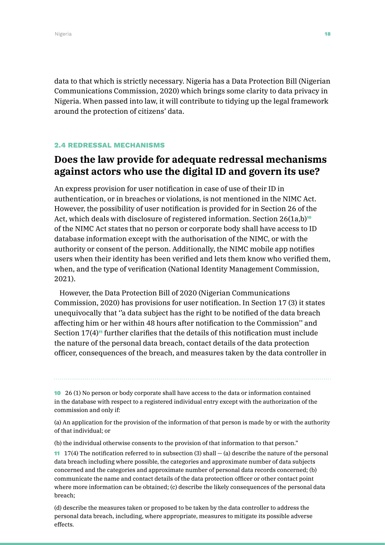data to that which is strictly necessary. Nigeria has a Data Protection Bill (Nigerian Communications Commission, 2020) which brings some clarity to data privacy in Nigeria. When passed into law, it will contribute to tidying up the legal framework around the protection of citizens' data.

#### 2.4 REDRESSAL MECHANISMS

## **Does the law provide for adequate redressal mechanisms against actors who use the digital ID and govern its use?**

An express provision for user notification in case of use of their ID in authentication, or in breaches or violations, is not mentioned in the NIMC Act. However, the possibility of user notification is provided for in Section 26 of the Act, which deals with disclosure of registered information. Section  $26(1a,b)^{10}$ of the NIMC Act states that no person or corporate body shall have access to ID database information except with the authorisation of the NIMC, or with the authority or consent of the person. Additionally, the NIMC mobile app notifies users when their identity has been verified and lets them know who verified them, when, and the type of verification (National Identity Management Commission, 2021).

However, the Data Protection Bill of 2020 (Nigerian Communications Commission, 2020) has provisions for user notification. In Section 17 (3) it states unequivocally that ''a data subject has the right to be notified of the data breach affecting him or her within 48 hours after notification to the Commission'' and Section  $17(4)$ <sup>11</sup> further clarifies that the details of this notification must include the nature of the personal data breach, contact details of the data protection officer, consequences of the breach, and measures taken by the data controller in

10 26 (1) No person or body corporate shall have access to the data or information contained in the database with respect to a registered individual entry except with the authorization of the commission and only if:

(a) An application for the provision of the information of that person is made by or with the authority of that individual; or

(b) the individual otherwise consents to the provision of that information to that person."

**11** 17(4) The notification referred to in subsection (3) shall  $-$  (a) describe the nature of the personal data breach including where possible, the categories and approximate number of data subjects concerned and the categories and approximate number of personal data records concerned; (b) communicate the name and contact details of the data protection officer or other contact point where more information can be obtained; (c) describe the likely consequences of the personal data breach;

(d) describe the measures taken or proposed to be taken by the data controller to address the personal data breach, including, where appropriate, measures to mitigate its possible adverse effects.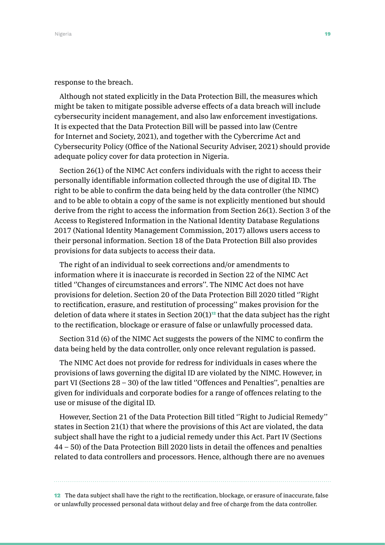#### response to the breach.

Although not stated explicitly in the Data Protection Bill, the measures which might be taken to mitigate possible adverse effects of a data breach will include cybersecurity incident management, and also law enforcement investigations. It is expected that the Data Protection Bill will be passed into law (Centre for Internet and Society, 2021), and together with the Cybercrime Act and Cybersecurity Policy (Office of the National Security Adviser, 2021) should provide adequate policy cover for data protection in Nigeria.

Section 26(1) of the NIMC Act confers individuals with the right to access their personally identifiable information collected through the use of digital ID. The right to be able to confirm the data being held by the data controller (the NIMC) and to be able to obtain a copy of the same is not explicitly mentioned but should derive from the right to access the information from Section 26(1). Section 3 of the Access to Registered Information in the National Identity Database Regulations 2017 (National Identity Management Commission, 2017) allows users access to their personal information. Section 18 of the Data Protection Bill also provides provisions for data subjects to access their data.

The right of an individual to seek corrections and/or amendments to information where it is inaccurate is recorded in Section 22 of the NIMC Act titled ''Changes of circumstances and errors''. The NIMC Act does not have provisions for deletion. Section 20 of the Data Protection Bill 2020 titled ''Right to rectification, erasure, and restitution of processing'' makes provision for the deletion of data where it states in Section  $20(1)^{12}$  that the data subject has the right to the rectification, blockage or erasure of false or unlawfully processed data.

Section 31d (6) of the NIMC Act suggests the powers of the NIMC to confirm the data being held by the data controller, only once relevant regulation is passed.

The NIMC Act does not provide for redress for individuals in cases where the provisions of laws governing the digital ID are violated by the NIMC. However, in part VI (Sections 28 – 30) of the law titled ''Offences and Penalties'', penalties are given for individuals and corporate bodies for a range of offences relating to the use or misuse of the digital ID.

However, Section 21 of the Data Protection Bill titled ''Right to Judicial Remedy'' states in Section 21(1) that where the provisions of this Act are violated, the data subject shall have the right to a judicial remedy under this Act. Part IV (Sections 44 – 50) of the Data Protection Bill 2020 lists in detail the offences and penalties related to data controllers and processors. Hence, although there are no avenues

12 The data subject shall have the right to the rectification, blockage, or erasure of inaccurate, false or unlawfully processed personal data without delay and free of charge from the data controller.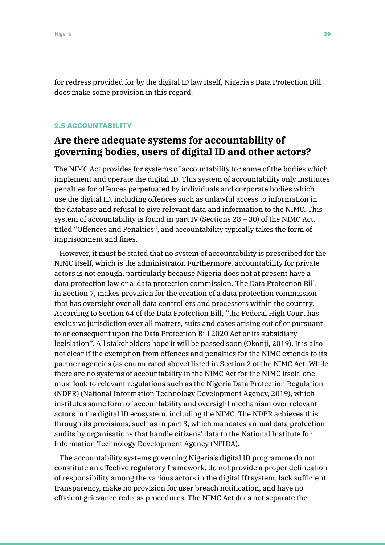for redress provided for by the digital ID law itself, Nigeria's Data Protection Bill does make some provision in this regard.

#### 2.5 ACCOUNTABILITY

## **Are there adequate systems for accountability of governing bodies, users of digital ID and other actors?**

The NIMC Act provides for systems of accountability for some of the bodies which implement and operate the digital ID. This system of accountability only institutes penalties for offences perpetuated by individuals and corporate bodies which use the digital ID, including offences such as unlawful access to information in the database and refusal to give relevant data and information to the NIMC. This system of accountability is found in part IV (Sections 28 – 30) of the NIMC Act, titled ''Offences and Penalties'', and accountability typically takes the form of imprisonment and fines.

However, it must be stated that no system of accountability is prescribed for the NIMC itself, which is the administrator. Furthermore, accountability for private actors is not enough, particularly because Nigeria does not at present have a data protection law or a data protection commission. The Data Protection Bill, in Section 7, makes provision for the creation of a data protection commission that has oversight over all data controllers and processors within the country. According to Section 64 of the Data Protection Bill, ''the Federal High Court has exclusive jurisdiction over all matters, suits and cases arising out of or pursuant to or consequent upon the Data Protection Bill 2020 Act or its subsidiary legislation''. All stakeholders hope it will be passed soon (Okonji, 2019). It is also not clear if the exemption from offences and penalties for the NIMC extends to its partner agencies (as enumerated above) listed in Section 2 of the NIMC Act. While there are no systems of accountability in the NIMC Act for the NIMC itself, one must look to relevant regulations such as the Nigeria Data Protection Regulation (NDPR) (National Information Technology Development Agency, 2019), which institutes some form of accountability and oversight mechanism over relevant actors in the digital ID ecosystem, including the NIMC. The NDPR achieves this through its provisions, such as in part 3, which mandates annual data protection audits by organisations that handle citizens' data to the National Institute for Information Technology Development Agency (NITDA).

The accountability systems governing Nigeria's digital ID programme do not constitute an effective regulatory framework, do not provide a proper delineation of responsibility among the various actors in the digital ID system, lack sufficient transparency, make no provision for user breach notification, and have no efficient grievance redress procedures. The NIMC Act does not separate the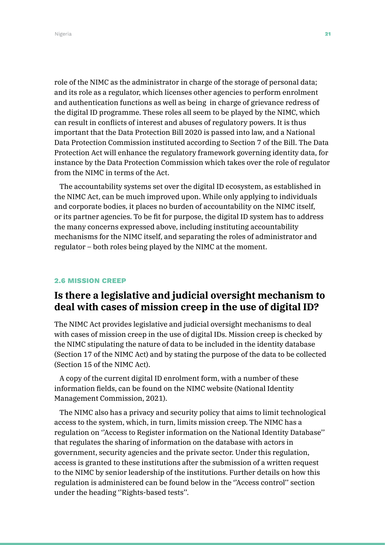Nigeria **21** Anno 2012 - Anno 2012 - Anno 2012 - Anno 2012 - Anno 2012 - Anno 2012 - Anno 2012 - Anno 2012 - Anno 20

role of the NIMC as the administrator in charge of the storage of personal data; and its role as a regulator, which licenses other agencies to perform enrolment and authentication functions as well as being in charge of grievance redress of the digital ID programme. These roles all seem to be played by the NIMC, which can result in conflicts of interest and abuses of regulatory powers. It is thus important that the Data Protection Bill 2020 is passed into law, and a National Data Protection Commission instituted according to Section 7 of the Bill. The Data Protection Act will enhance the regulatory framework governing identity data, for instance by the Data Protection Commission which takes over the role of regulator from the NIMC in terms of the Act.

The accountability systems set over the digital ID ecosystem, as established in the NIMC Act, can be much improved upon. While only applying to individuals and corporate bodies, it places no burden of accountability on the NIMC itself, or its partner agencies. To be fit for purpose, the digital ID system has to address the many concerns expressed above, including instituting accountability mechanisms for the NIMC itself, and separating the roles of administrator and regulator – both roles being played by the NIMC at the moment.

#### 2.6 MISSION CREEP

## **Is there a legislative and judicial oversight mechanism to deal with cases of mission creep in the use of digital ID?**

The NIMC Act provides legislative and judicial oversight mechanisms to deal with cases of mission creep in the use of digital IDs. Mission creep is checked by the NIMC stipulating the nature of data to be included in the identity database (Section 17 of the NIMC Act) and by stating the purpose of the data to be collected (Section 15 of the NIMC Act).

A copy of the current digital ID enrolment form, with a number of these information fields, can be found on the NIMC website (National Identity Management Commission, 2021).

The NIMC also has a privacy and security policy that aims to limit technological access to the system, which, in turn, limits mission creep. The NIMC has a regulation on ''Access to Register information on the National Identity Database'' that regulates the sharing of information on the database with actors in government, security agencies and the private sector. Under this regulation, access is granted to these institutions after the submission of a written request to the NIMC by senior leadership of the institutions. Further details on how this regulation is administered can be found below in the ''Access control'' section under the heading ''Rights-based tests''.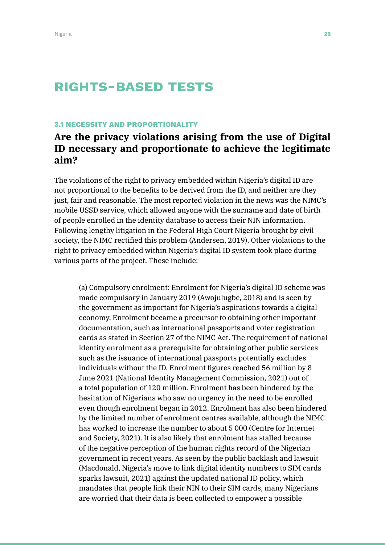# Rights-based tests

#### 3.1 NECESSITY AND PROPORTIONALITY

## **Are the privacy violations arising from the use of Digital ID necessary and proportionate to achieve the legitimate aim?**

The violations of the right to privacy embedded within Nigeria's digital ID are not proportional to the benefits to be derived from the ID, and neither are they just, fair and reasonable. The most reported violation in the news was the NIMC's mobile USSD service, which allowed anyone with the surname and date of birth of people enrolled in the identity database to access their NIN information. Following lengthy litigation in the Federal High Court Nigeria brought by civil society, the NIMC rectified this problem (Andersen, 2019). Other violations to the right to privacy embedded within Nigeria's digital ID system took place during various parts of the project. These include:

(a) Compulsory enrolment: Enrolment for Nigeria's digital ID scheme was made compulsory in January 2019 (Awojulugbe, 2018) and is seen by the government as important for Nigeria's aspirations towards a digital economy. Enrolment became a precursor to obtaining other important documentation, such as international passports and voter registration cards as stated in Section 27 of the NIMC Act. The requirement of national identity enrolment as a prerequisite for obtaining other public services such as the issuance of international passports potentially excludes individuals without the ID. Enrolment figures reached 56 million by 8 June 2021 (National Identity Management Commission, 2021) out of a total population of 120 million. Enrolment has been hindered by the hesitation of Nigerians who saw no urgency in the need to be enrolled even though enrolment began in 2012. Enrolment has also been hindered by the limited number of enrolment centres available, although the NIMC has worked to increase the number to about 5 000 (Centre for Internet and Society, 2021). It is also likely that enrolment has stalled because of the negative perception of the human rights record of the Nigerian government in recent years. As seen by the public backlash and lawsuit (Macdonald, Nigeria's move to link digital identity numbers to SIM cards sparks lawsuit, 2021) against the updated national ID policy, which mandates that people link their NIN to their SIM cards, many Nigerians are worried that their data is been collected to empower a possible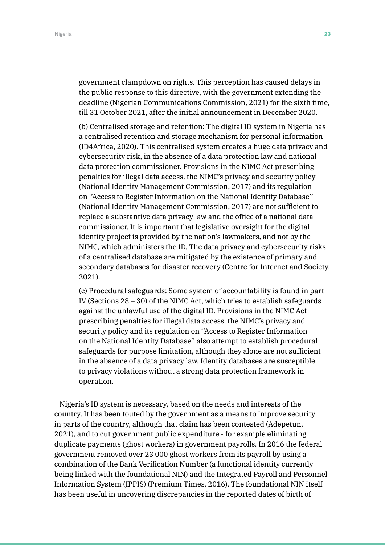government clampdown on rights. This perception has caused delays in the public response to this directive, with the government extending the deadline (Nigerian Communications Commission, 2021) for the sixth time, till 31 October 2021, after the initial announcement in December 2020.

(b) Centralised storage and retention: The digital ID system in Nigeria has a centralised retention and storage mechanism for personal information (ID4Africa, 2020). This centralised system creates a huge data privacy and cybersecurity risk, in the absence of a data protection law and national data protection commissioner. Provisions in the NIMC Act prescribing penalties for illegal data access, the NIMC's privacy and security policy (National Identity Management Commission, 2017) and its regulation on ''Access to Register Information on the National Identity Database'' (National Identity Management Commission, 2017) are not sufficient to replace a substantive data privacy law and the office of a national data commissioner. It is important that legislative oversight for the digital identity project is provided by the nation's lawmakers, and not by the NIMC, which administers the ID. The data privacy and cybersecurity risks of a centralised database are mitigated by the existence of primary and secondary databases for disaster recovery (Centre for Internet and Society, 2021).

(c) Procedural safeguards: Some system of accountability is found in part IV (Sections 28 – 30) of the NIMC Act, which tries to establish safeguards against the unlawful use of the digital ID. Provisions in the NIMC Act prescribing penalties for illegal data access, the NIMC's privacy and security policy and its regulation on ''Access to Register Information on the National Identity Database'' also attempt to establish procedural safeguards for purpose limitation, although they alone are not sufficient in the absence of a data privacy law. Identity databases are susceptible to privacy violations without a strong data protection framework in operation.

Nigeria's ID system is necessary, based on the needs and interests of the country. It has been touted by the government as a means to improve security in parts of the country, although that claim has been contested (Adepetun, 2021), and to cut government public expenditure - for example eliminating duplicate payments (ghost workers) in government payrolls. In 2016 the federal government removed over 23 000 ghost workers from its payroll by using a combination of the Bank Verification Number (a functional identity currently being linked with the foundational NIN) and the Integrated Payroll and Personnel Information System (IPPIS) (Premium Times, 2016). The foundational NIN itself has been useful in uncovering discrepancies in the reported dates of birth of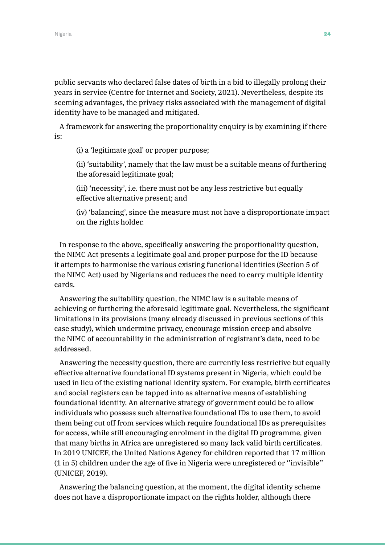public servants who declared false dates of birth in a bid to illegally prolong their years in service (Centre for Internet and Society, 2021). Nevertheless, despite its seeming advantages, the privacy risks associated with the management of digital identity have to be managed and mitigated.

A framework for answering the proportionality enquiry is by examining if there is:

(i) a 'legitimate goal' or proper purpose;

(ii) 'suitability', namely that the law must be a suitable means of furthering the aforesaid legitimate goal;

(iii) 'necessity', i.e. there must not be any less restrictive but equally effective alternative present; and

(iv) 'balancing', since the measure must not have a disproportionate impact on the rights holder.

In response to the above, specifically answering the proportionality question, the NIMC Act presents a legitimate goal and proper purpose for the ID because it attempts to harmonise the various existing functional identities (Section 5 of the NIMC Act) used by Nigerians and reduces the need to carry multiple identity cards.

Answering the suitability question, the NIMC law is a suitable means of achieving or furthering the aforesaid legitimate goal. Nevertheless, the significant limitations in its provisions (many already discussed in previous sections of this case study), which undermine privacy, encourage mission creep and absolve the NIMC of accountability in the administration of registrant's data, need to be addressed.

Answering the necessity question, there are currently less restrictive but equally effective alternative foundational ID systems present in Nigeria, which could be used in lieu of the existing national identity system. For example, birth certificates and social registers can be tapped into as alternative means of establishing foundational identity. An alternative strategy of government could be to allow individuals who possess such alternative foundational IDs to use them, to avoid them being cut off from services which require foundational IDs as prerequisites for access, while still encouraging enrolment in the digital ID programme, given that many births in Africa are unregistered so many lack valid birth certificates. In 2019 UNICEF, the United Nations Agency for children reported that 17 million (1 in 5) children under the age of five in Nigeria were unregistered or ''invisible'' (UNICEF, 2019).

Answering the balancing question, at the moment, the digital identity scheme does not have a disproportionate impact on the rights holder, although there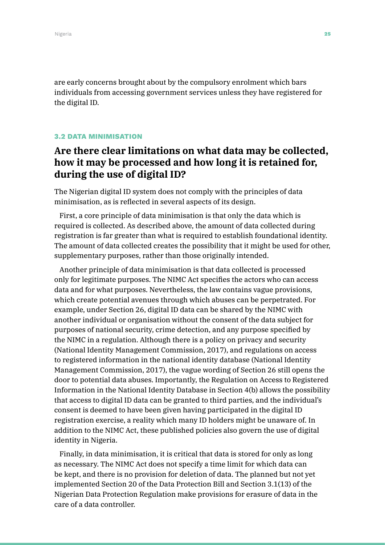are early concerns brought about by the compulsory enrolment which bars individuals from accessing government services unless they have registered for the digital ID.

#### 3.2 DATA MINIMISATION

## **Are there clear limitations on what data may be collected, how it may be processed and how long it is retained for, during the use of digital ID?**

The Nigerian digital ID system does not comply with the principles of data minimisation, as is reflected in several aspects of its design.

First, a core principle of data minimisation is that only the data which is required is collected. As described above, the amount of data collected during registration is far greater than what is required to establish foundational identity. The amount of data collected creates the possibility that it might be used for other, supplementary purposes, rather than those originally intended.

Another principle of data minimisation is that data collected is processed only for legitimate purposes. The NIMC Act specifies the actors who can access data and for what purposes. Nevertheless, the law contains vague provisions, which create potential avenues through which abuses can be perpetrated. For example, under Section 26, digital ID data can be shared by the NIMC with another individual or organisation without the consent of the data subject for purposes of national security, crime detection, and any purpose specified by the NIMC in a regulation. Although there is a policy on privacy and security (National Identity Management Commission, 2017), and regulations on access to registered information in the national identity database (National Identity Management Commission, 2017), the vague wording of Section 26 still opens the door to potential data abuses. Importantly, the Regulation on Access to Registered Information in the National Identity Database in Section 4(b) allows the possibility that access to digital ID data can be granted to third parties, and the individual's consent is deemed to have been given having participated in the digital ID registration exercise, a reality which many ID holders might be unaware of. In addition to the NIMC Act, these published policies also govern the use of digital identity in Nigeria.

Finally, in data minimisation, it is critical that data is stored for only as long as necessary. The NIMC Act does not specify a time limit for which data can be kept, and there is no provision for deletion of data. The planned but not yet implemented Section 20 of the Data Protection Bill and Section 3.1(13) of the Nigerian Data Protection Regulation make provisions for erasure of data in the care of a data controller.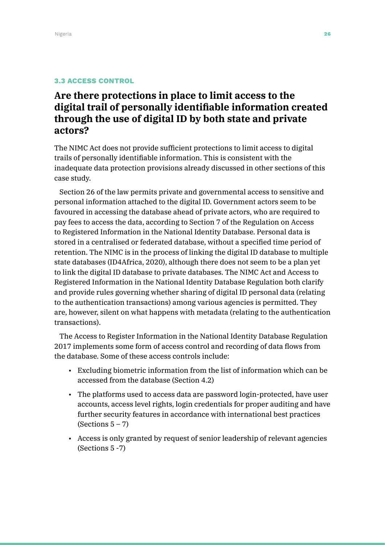#### 3.3 ACCESS CONTROL

# **Are there protections in place to limit access to the digital trail of personally identifiable information created through the use of digital ID by both state and private actors?**

The NIMC Act does not provide sufficient protections to limit access to digital trails of personally identifiable information. This is consistent with the inadequate data protection provisions already discussed in other sections of this case study.

Section 26 of the law permits private and governmental access to sensitive and personal information attached to the digital ID. Government actors seem to be favoured in accessing the database ahead of private actors, who are required to pay fees to access the data, according to Section 7 of the Regulation on Access to Registered Information in the National Identity Database. Personal data is stored in a centralised or federated database, without a specified time period of retention. The NIMC is in the process of linking the digital ID database to multiple state databases (ID4Africa, 2020), although there does not seem to be a plan yet to link the digital ID database to private databases. The NIMC Act and Access to Registered Information in the National Identity Database Regulation both clarify and provide rules governing whether sharing of digital ID personal data (relating to the authentication transactions) among various agencies is permitted. They are, however, silent on what happens with metadata (relating to the authentication transactions).

The Access to Register Information in the National Identity Database Regulation 2017 implements some form of access control and recording of data flows from the database. Some of these access controls include:

- Excluding biometric information from the list of information which can be accessed from the database (Section 4.2)
- The platforms used to access data are password login-protected, have user accounts, access level rights, login credentials for proper auditing and have further security features in accordance with international best practices (Sections  $5 - 7$ )
- Access is only granted by request of senior leadership of relevant agencies (Sections 5 -7)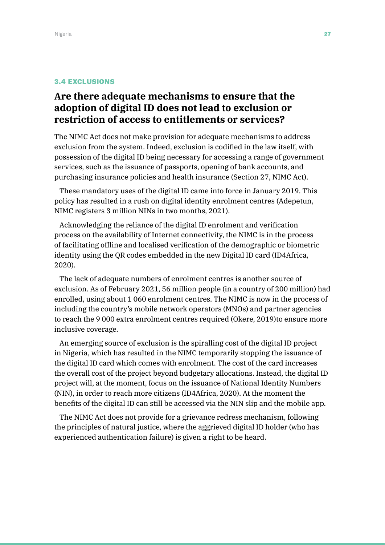#### 3.4 EXCLUSIONS

## **Are there adequate mechanisms to ensure that the adoption of digital ID does not lead to exclusion or restriction of access to entitlements or services?**

The NIMC Act does not make provision for adequate mechanisms to address exclusion from the system. Indeed, exclusion is codified in the law itself, with possession of the digital ID being necessary for accessing a range of government services, such as the issuance of passports, opening of bank accounts, and purchasing insurance policies and health insurance (Section 27, NIMC Act).

These mandatory uses of the digital ID came into force in January 2019. This policy has resulted in a rush on digital identity enrolment centres (Adepetun, NIMC registers 3 million NINs in two months, 2021).

Acknowledging the reliance of the digital ID enrolment and verification process on the availability of Internet connectivity, the NIMC is in the process of facilitating offline and localised verification of the demographic or biometric identity using the QR codes embedded in the new Digital ID card (ID4Africa, 2020).

The lack of adequate numbers of enrolment centres is another source of exclusion. As of February 2021, 56 million people (in a country of 200 million) had enrolled, using about 1 060 enrolment centres. The NIMC is now in the process of including the country's mobile network operators (MNOs) and partner agencies to reach the 9 000 extra enrolment centres required (Okere, 2019)to ensure more inclusive coverage.

An emerging source of exclusion is the spiralling cost of the digital ID project in Nigeria, which has resulted in the NIMC temporarily stopping the issuance of the digital ID card which comes with enrolment. The cost of the card increases the overall cost of the project beyond budgetary allocations. Instead, the digital ID project will, at the moment, focus on the issuance of National Identity Numbers (NIN), in order to reach more citizens (ID4Africa, 2020). At the moment the benefits of the digital ID can still be accessed via the NIN slip and the mobile app.

The NIMC Act does not provide for a grievance redress mechanism, following the principles of natural justice, where the aggrieved digital ID holder (who has experienced authentication failure) is given a right to be heard.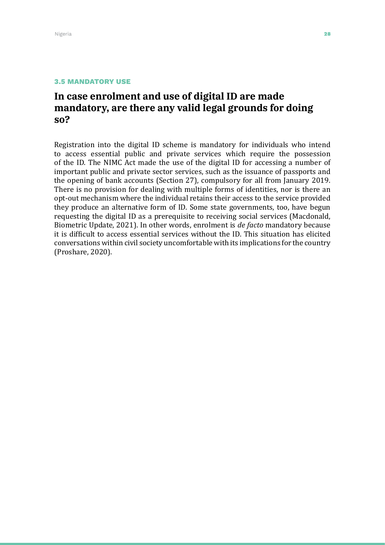## **In case enrolment and use of digital ID are made mandatory, are there any valid legal grounds for doing so?**

Registration into the digital ID scheme is mandatory for individuals who intend to access essential public and private services which require the possession of the ID. The NIMC Act made the use of the digital ID for accessing a number of important public and private sector services, such as the issuance of passports and the opening of bank accounts (Section 27), compulsory for all from January 2019. There is no provision for dealing with multiple forms of identities, nor is there an opt-out mechanism where the individual retains their access to the service provided they produce an alternative form of ID. Some state governments, too, have begun requesting the digital ID as a prerequisite to receiving social services (Macdonald, Biometric Update, 2021). In other words, enrolment is *de facto* mandatory because it is difficult to access essential services without the ID. This situation has elicited conversations within civil society uncomfortable with its implications for the country (Proshare, 2020).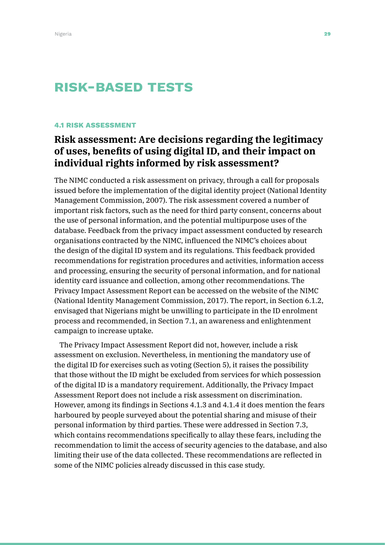# Risk-based tests

#### 4.1 RISK ASSESSMENT

# **Risk assessment: Are decisions regarding the legitimacy of uses, benefits of using digital ID, and their impact on individual rights informed by risk assessment?**

The NIMC conducted a risk assessment on privacy, through a call for proposals issued before the implementation of the digital identity project (National Identity Management Commission, 2007). The risk assessment covered a number of important risk factors, such as the need for third party consent, concerns about the use of personal information, and the potential multipurpose uses of the database. Feedback from the privacy impact assessment conducted by research organisations contracted by the NIMC, influenced the NIMC's choices about the design of the digital ID system and its regulations. This feedback provided recommendations for registration procedures and activities, information access and processing, ensuring the security of personal information, and for national identity card issuance and collection, among other recommendations. The Privacy Impact Assessment Report can be accessed on the website of the NIMC (National Identity Management Commission, 2017). The report, in Section 6.1.2, envisaged that Nigerians might be unwilling to participate in the ID enrolment process and recommended, in Section 7.1, an awareness and enlightenment campaign to increase uptake.

The Privacy Impact Assessment Report did not, however, include a risk assessment on exclusion. Nevertheless, in mentioning the mandatory use of the digital ID for exercises such as voting (Section 5), it raises the possibility that those without the ID might be excluded from services for which possession of the digital ID is a mandatory requirement. Additionally, the Privacy Impact Assessment Report does not include a risk assessment on discrimination. However, among its findings in Sections 4.1.3 and 4.1.4 it does mention the fears harboured by people surveyed about the potential sharing and misuse of their personal information by third parties. These were addressed in Section 7.3, which contains recommendations specifically to allay these fears, including the recommendation to limit the access of security agencies to the database, and also limiting their use of the data collected. These recommendations are reflected in some of the NIMC policies already discussed in this case study.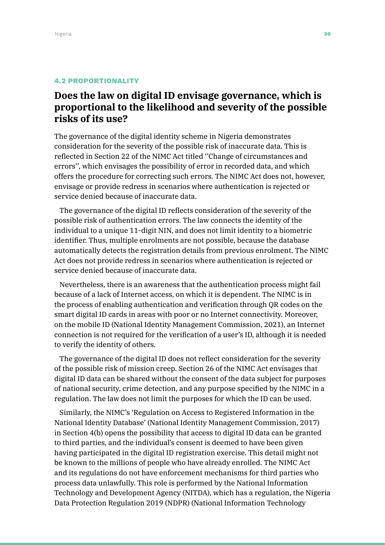#### 4.2 PROPORTIONALITY

# **Does the law on digital ID envisage governance, which is proportional to the likelihood and severity of the possible risks of its use?**

The governance of the digital identity scheme in Nigeria demonstrates consideration for the severity of the possible risk of inaccurate data. This is reflected in Section 22 of the NIMC Act titled ''Change of circumstances and errors'', which envisages the possibility of error in recorded data, and which offers the procedure for correcting such errors. The NIMC Act does not, however, envisage or provide redress in scenarios where authentication is rejected or service denied because of inaccurate data.

The governance of the digital ID reflects consideration of the severity of the possible risk of authentication errors. The law connects the identity of the individual to a unique 11-digit NIN, and does not limit identity to a biometric identifier. Thus, multiple enrolments are not possible, because the database automatically detects the registration details from previous enrolment. The NIMC Act does not provide redress in scenarios where authentication is rejected or service denied because of inaccurate data.

Nevertheless, there is an awareness that the authentication process might fail because of a lack of Internet access, on which it is dependent. The NIMC is in the process of enabling authentication and verification through QR codes on the smart digital ID cards in areas with poor or no Internet connectivity. Moreover, on the mobile ID (National Identity Management Commission, 2021), an Internet connection is not required for the verification of a user's ID, although it is needed to verify the identity of others.

The governance of the digital ID does not reflect consideration for the severity of the possible risk of mission creep. Section 26 of the NIMC Act envisages that digital ID data can be shared without the consent of the data subject for purposes of national security, crime detection, and any purpose specified by the NIMC in a regulation. The law does not limit the purposes for which the ID can be used.

Similarly, the NIMC's 'Regulation on Access to Registered Information in the National Identity Database' (National Identity Management Commission, 2017) in Section 4(b) opens the possibility that access to digital ID data can be granted to third parties, and the individual's consent is deemed to have been given having participated in the digital ID registration exercise. This detail might not be known to the millions of people who have already enrolled. The NIMC Act and its regulations do not have enforcement mechanisms for third parties who process data unlawfully. This role is performed by the National Information Technology and Development Agency (NITDA), which has a regulation, the Nigeria Data Protection Regulation 2019 (NDPR) (National Information Technology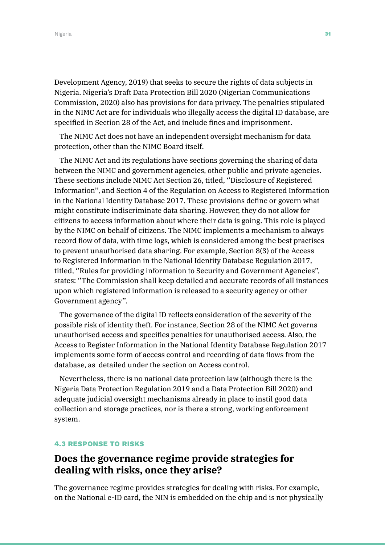Development Agency, 2019) that seeks to secure the rights of data subjects in Nigeria. Nigeria's Draft Data Protection Bill 2020 (Nigerian Communications Commission, 2020) also has provisions for data privacy. The penalties stipulated in the NIMC Act are for individuals who illegally access the digital ID database, are specified in Section 28 of the Act, and include fines and imprisonment.

The NIMC Act does not have an independent oversight mechanism for data protection, other than the NIMC Board itself.

The NIMC Act and its regulations have sections governing the sharing of data between the NIMC and government agencies, other public and private agencies. These sections include NIMC Act Section 26, titled, ''Disclosure of Registered Information'', and Section 4 of the Regulation on Access to Registered Information in the National Identity Database 2017. These provisions define or govern what might constitute indiscriminate data sharing. However, they do not allow for citizens to access information about where their data is going. This role is played by the NIMC on behalf of citizens. The NIMC implements a mechanism to always record flow of data, with time logs, which is considered among the best practises to prevent unauthorised data sharing. For example, Section 8(3) of the Access to Registered Information in the National Identity Database Regulation 2017, titled, ''Rules for providing information to Security and Government Agencies", states: ''The Commission shall keep detailed and accurate records of all instances upon which registered information is released to a security agency or other Government agency''.

The governance of the digital ID reflects consideration of the severity of the possible risk of identity theft. For instance, Section 28 of the NIMC Act governs unauthorised access and specifies penalties for unauthorised access. Also, the Access to Register Information in the National Identity Database Regulation 2017 implements some form of access control and recording of data flows from the database, as detailed under the section on Access control.

Nevertheless, there is no national data protection law (although there is the Nigeria Data Protection Regulation 2019 and a Data Protection Bill 2020) and adequate judicial oversight mechanisms already in place to instil good data collection and storage practices, nor is there a strong, working enforcement system.

#### 4.3 RESPONSE TO RISKS

## **Does the governance regime provide strategies for dealing with risks, once they arise?**

The governance regime provides strategies for dealing with risks. For example, on the National e-ID card, the NIN is embedded on the chip and is not physically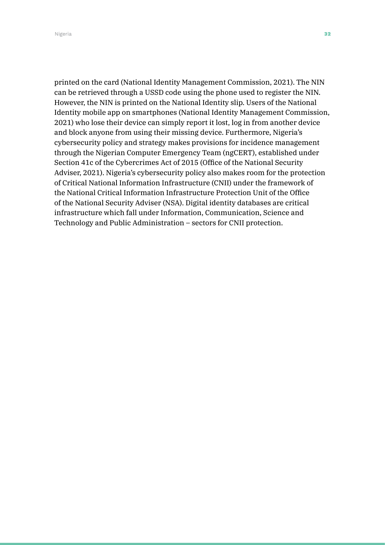Nigeria **32** and 2012 and 2012 and 2012 and 2012 and 2012 and 2012 and 2012 and 2012 and 2012 and 201

printed on the card (National Identity Management Commission, 2021). The NIN can be retrieved through a USSD code using the phone used to register the NIN. However, the NIN is printed on the National Identity slip. Users of the National Identity mobile app on smartphones (National Identity Management Commission, 2021) who lose their device can simply report it lost, log in from another device and block anyone from using their missing device. Furthermore, Nigeria's cybersecurity policy and strategy makes provisions for incidence management through the Nigerian Computer Emergency Team (ngCERT), established under Section 41c of the Cybercrimes Act of 2015 (Office of the National Security Adviser, 2021). Nigeria's cybersecurity policy also makes room for the protection of Critical National Information Infrastructure (CNII) under the framework of the National Critical Information Infrastructure Protection Unit of the Office of the National Security Adviser (NSA). Digital identity databases are critical infrastructure which fall under Information, Communication, Science and Technology and Public Administration – sectors for CNII protection.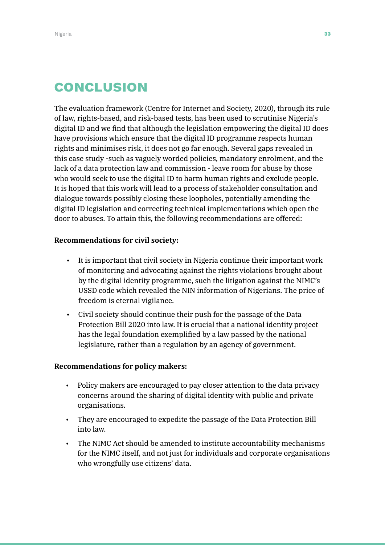# **CONCLUSION**

The evaluation framework (Centre for Internet and Society, 2020), through its rule of law, rights-based, and risk-based tests, has been used to scrutinise Nigeria's digital ID and we find that although the legislation empowering the digital ID does have provisions which ensure that the digital ID programme respects human rights and minimises risk, it does not go far enough. Several gaps revealed in this case study -such as vaguely worded policies, mandatory enrolment, and the lack of a data protection law and commission - leave room for abuse by those who would seek to use the digital ID to harm human rights and exclude people. It is hoped that this work will lead to a process of stakeholder consultation and dialogue towards possibly closing these loopholes, potentially amending the digital ID legislation and correcting technical implementations which open the door to abuses. To attain this, the following recommendations are offered:

#### **Recommendations for civil society:**

- It is important that civil society in Nigeria continue their important work of monitoring and advocating against the rights violations brought about by the digital identity programme, such the litigation against the NIMC's USSD code which revealed the NIN information of Nigerians. The price of freedom is eternal vigilance.
- Civil society should continue their push for the passage of the Data Protection Bill 2020 into law. It is crucial that a national identity project has the legal foundation exemplified by a law passed by the national legislature, rather than a regulation by an agency of government.

#### **Recommendations for policy makers:**

- Policy makers are encouraged to pay closer attention to the data privacy concerns around the sharing of digital identity with public and private organisations.
- They are encouraged to expedite the passage of the Data Protection Bill into law.
- The NIMC Act should be amended to institute accountability mechanisms for the NIMC itself, and not just for individuals and corporate organisations who wrongfully use citizens' data.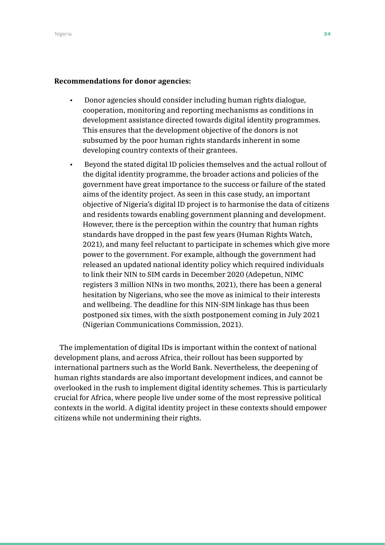#### **Recommendations for donor agencies:**

- Donor agencies should consider including human rights dialogue, cooperation, monitoring and reporting mechanisms as conditions in development assistance directed towards digital identity programmes. This ensures that the development objective of the donors is not subsumed by the poor human rights standards inherent in some developing country contexts of their grantees.
- Beyond the stated digital ID policies themselves and the actual rollout of the digital identity programme, the broader actions and policies of the government have great importance to the success or failure of the stated aims of the identity project. As seen in this case study, an important objective of Nigeria's digital ID project is to harmonise the data of citizens and residents towards enabling government planning and development. However, there is the perception within the country that human rights standards have dropped in the past few years (Human Rights Watch, 2021), and many feel reluctant to participate in schemes which give more power to the government. For example, although the government had released an updated national identity policy which required individuals to link their NIN to SIM cards in December 2020 (Adepetun, NIMC registers 3 million NINs in two months, 2021), there has been a general hesitation by Nigerians, who see the move as inimical to their interests and wellbeing. The deadline for this NIN-SIM linkage has thus been postponed six times, with the sixth postponement coming in July 2021 (Nigerian Communications Commission, 2021).

The implementation of digital IDs is important within the context of national development plans, and across Africa, their rollout has been supported by international partners such as the World Bank. Nevertheless, the deepening of human rights standards are also important development indices, and cannot be overlooked in the rush to implement digital identity schemes. This is particularly crucial for Africa, where people live under some of the most repressive political contexts in the world. A digital identity project in these contexts should empower citizens while not undermining their rights.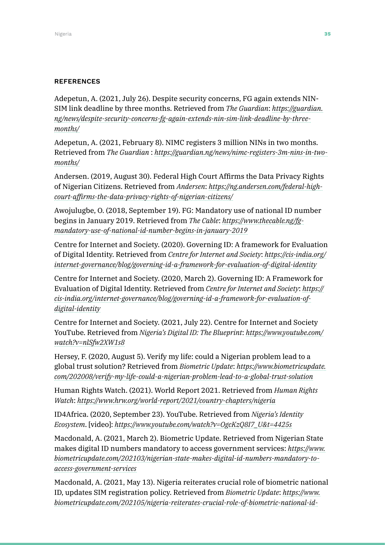#### **REFERENCES**

Adepetun, A. (2021, July 26). Despite security concerns, FG again extends NIN-SIM link deadline by three months. Retrieved from *The Guardian*: *[https://guardian.](https://guardian.ng/news/despite-security-concerns-fg-again-extends-nin-sim-link-deadline-by-three-m) [ng/news/despite-security-concerns-fg-again-extends-nin-sim-link-deadline-by-three](https://guardian.ng/news/despite-security-concerns-fg-again-extends-nin-sim-link-deadline-by-three-m)[months/](https://guardian.ng/news/despite-security-concerns-fg-again-extends-nin-sim-link-deadline-by-three-m)*

Adepetun, A. (2021, February 8). NIMC registers 3 million NINs in two months. Retrieved from *The Guardian* : *[https://guardian.ng/news/nimc-registers-3m-nins-in-two](https://guardian.ng/news/nimc-registers-3m-nins-in-two-months/ )[months/](https://guardian.ng/news/nimc-registers-3m-nins-in-two-months/ )*

Andersen. (2019, August 30). Federal High Court Affirms the Data Privacy Rights of Nigerian Citizens. Retrieved from *Andersen*: *[https://ng.andersen.com/federal-high](https://ng.andersen.com/federal-high-court-affirms-the-data-privacy-rights-of-nigerian-citizens/)[court-affirms-the-data-privacy-rights-of-nigerian-citizens/](https://ng.andersen.com/federal-high-court-affirms-the-data-privacy-rights-of-nigerian-citizens/)*

Awojulugbe, O. (2018, September 19). FG: Mandatory use of national ID number begins in January 2019. Retrieved from *The Cable*: *[https://www.thecable.ng/fg](https://www.thecable.ng/fg-mandatory-use-of-national-id-number-begins-in-january-2019)[mandatory-use-of-national-id-number-begins-in-january-2019](https://www.thecable.ng/fg-mandatory-use-of-national-id-number-begins-in-january-2019)*

Centre for Internet and Society. (2020). Governing ID: A framework for Evaluation of Digital Identity. Retrieved from *Centre for Internet and Society*: *[https://cis-india.org/](https://cis-india.org/internet-governance/blog/governing-id-a-framework-for-evaluation-of-digital-id) [internet-governance/blog/governing-id-a-framework-for-evaluation-of-digital-identity](https://cis-india.org/internet-governance/blog/governing-id-a-framework-for-evaluation-of-digital-id)*

Centre for Internet and Society. (2020, March 2). Governing ID: A Framework for Evaluation of Digital Identity. Retrieved from *Centre for Internet and Society*: *[https://](https://cis-india.org/internet-governance/blog/governing-id-a-framework-for-evaluation-of-digital-id) [cis-india.org/internet-governance/blog/governing-id-a-framework-for-evaluation-of](https://cis-india.org/internet-governance/blog/governing-id-a-framework-for-evaluation-of-digital-id)[digital-identity](https://cis-india.org/internet-governance/blog/governing-id-a-framework-for-evaluation-of-digital-id)*

Centre for Internet and Society. (2021, July 22). Centre for Internet and Society YouTube. Retrieved from *Nigeria's Digital ID: The Blueprint*: *[https://www.youtube.com/](https://www.youtube.com/watch?v=nlSfw2XW1s8 ) [watch?v=nlSfw2XW1s8](https://www.youtube.com/watch?v=nlSfw2XW1s8 )*

Hersey, F. (2020, August 5). Verify my life: could a Nigerian problem lead to a global trust solution? Retrieved from *Biometric Update*: *[https://www.biometricupdate.](https://www.biometricupdate.com/202008/verify-my-life-could-a-nigerian-problem-lead-to-a-global-trus) [com/202008/verify-my-life-could-a-nigerian-problem-lead-to-a-global-trust-solution](https://www.biometricupdate.com/202008/verify-my-life-could-a-nigerian-problem-lead-to-a-global-trus)*

Human Rights Watch. (2021). World Report 2021. Retrieved from *Human Rights Watch*: *<https://www.hrw.org/world-report/2021/country-chapters/nigeria>*

ID4Africa. (2020, September 23). YouTube. Retrieved from *Nigeria's Identity Ecosystem*. [video]: *[https://www.youtube.com/watch?v=OgcKzQ8I7\\_U&t=4425s](https://www.youtube.com/watch?v=OgcKzQ8I7_U&t=4425s)*

Macdonald, A. (2021, March 2). Biometric Update. Retrieved from Nigerian State makes digital ID numbers mandatory to access government services: *[https://www.](https://www.biometricupdate.com/202103/nigerian-state-makes-digital-id-numbers-mandatory-to-access-g) [biometricupdate.com/202103/nigerian-state-makes-digital-id-numbers-mandatory-to](https://www.biometricupdate.com/202103/nigerian-state-makes-digital-id-numbers-mandatory-to-access-g)[access-government-services](https://www.biometricupdate.com/202103/nigerian-state-makes-digital-id-numbers-mandatory-to-access-g)*

Macdonald, A. (2021, May 13). Nigeria reiterates crucial role of biometric national ID, updates SIM registration policy. Retrieved from *Biometric Update*: *[https://www.](https://www.biometricupdate.com/202105/nigeria-reiterates-crucial-role-of-biometric-national-id-upda) [biometricupdate.com/202105/nigeria-reiterates-crucial-role-of-biometric-national-id-](https://www.biometricupdate.com/202105/nigeria-reiterates-crucial-role-of-biometric-national-id-upda)*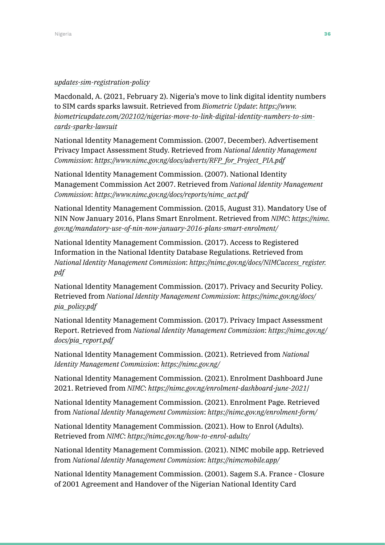#### *[updates-sim-registration-policy](https://www.biometricupdate.com/202105/nigeria-reiterates-crucial-role-of-biometric-national-id-upda)*

Macdonald, A. (2021, February 2). Nigeria's move to link digital identity numbers to SIM cards sparks lawsuit. Retrieved from *Biometric Update*: *[https://www.](https://www.biometricupdate.com/202102/nigerias-move-to-link-digital-identity-numbers-to-sim-cards-s) [biometricupdate.com/202102/nigerias-move-to-link-digital-identity-numbers-to-sim](https://www.biometricupdate.com/202102/nigerias-move-to-link-digital-identity-numbers-to-sim-cards-s)[cards-sparks-lawsuit](https://www.biometricupdate.com/202102/nigerias-move-to-link-digital-identity-numbers-to-sim-cards-s)*

National Identity Management Commission. (2007, December). Advertisement Privacy Impact Assessment Study. Retrieved from *National Identity Management Commission*: *[https://www.nimc.gov.ng/docs/adverts/RFP\\_for\\_Project\\_PIA.pdf](https://www.nimc.gov.ng/docs/adverts/RFP_for_Project_PIA.pdf )*

National Identity Management Commission. (2007). National Identity Management Commission Act 2007. Retrieved from *National Identity Management Commission*: *[https://www.nimc.gov.ng/docs/reports/nimc\\_act.pdf](https://www.nimc.gov.ng/docs/reports/nimc_act.pdf )*

National Identity Management Commission. (2015, August 31). Mandatory Use of NIN Now January 2016, Plans Smart Enrolment. Retrieved from *NIMC*: *[https://nimc.](https://nimc.gov.ng/mandatory-use-of-nin-now-january-2016-plans-smart-enrolment/) [gov.ng/mandatory-use-of-nin-now-january-2016-plans-smart-enrolment/](https://nimc.gov.ng/mandatory-use-of-nin-now-january-2016-plans-smart-enrolment/)*

National Identity Management Commission. (2017). Access to Registered Information in the National Identity Database Regulations. Retrieved from *National Identity Management Commission*: *[https://nimc.gov.ng/docs/NIMCaccess\\_register.](https://nimc.gov.ng/docs/NIMCaccess_register.pdf ) [pdf](https://nimc.gov.ng/docs/NIMCaccess_register.pdf )*

National Identity Management Commission. (2017). Privacy and Security Policy. Retrieved from *National Identity Management Commission*: *[https://nimc.gov.ng/docs/](https://nimc.gov.ng/docs/pia_policy.pdf ) [pia\\_policy.pdf](https://nimc.gov.ng/docs/pia_policy.pdf )*

National Identity Management Commission. (2017). Privacy Impact Assessment Report. Retrieved from *National Identity Management Commission*: *[https://nimc.gov.ng/](https://nimc.gov.ng/docs/pia_report.pdf ) [docs/pia\\_report.pdf](https://nimc.gov.ng/docs/pia_report.pdf )*

National Identity Management Commission. (2021). Retrieved from *National Identity Management Commission*: *<https://nimc.gov.ng/>*

National Identity Management Commission. (2021). Enrolment Dashboard June 2021. Retrieved from *NIMC*: *<https://nimc.gov.ng/enrolment-dashboard-june-2021>*/

National Identity Management Commission. (2021). Enrolment Page. Retrieved from *National Identity Management Commission*: *[https://nimc.gov.ng/enrolment-form/](https://nimc.gov.ng/enrolment-form/ )*

National Identity Management Commission. (2021). How to Enrol (Adults). Retrieved from *NIMC*: *[https://nimc.gov.ng/how-to-enrol-adults/](https://nimc.gov.ng/how-to-enrol-adults/ )*

National Identity Management Commission. (2021). NIMC mobile app. Retrieved from *National Identity Management Commission*: *<https://nimcmobile.app/>*

National Identity Management Commission. (2001). Sagem S.A. France - Closure of 2001 Agreement and Handover of the Nigerian National Identity Card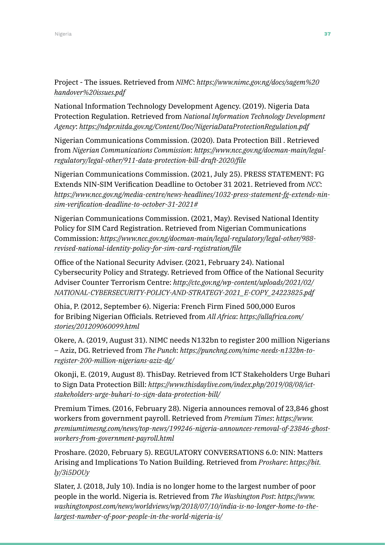Project - The issues. Retrieved from *NIMC*: *[https://www.nimc.gov.ng/docs/sagem%20](https://www.nimc.gov.ng/docs/sagem%20handover%20issues.pdf ) [handover%20issues.pdf](https://www.nimc.gov.ng/docs/sagem%20handover%20issues.pdf )*

National Information Technology Development Agency. (2019). Nigeria Data Protection Regulation. Retrieved from *National Information Technology Development Agency*: *[https://ndpr.nitda.gov.ng/Content/Doc/NigeriaDataProtectionRegulation.pdf](https://ndpr.nitda.gov.ng/Content/Doc/NigeriaDataProtectionRegulation.pdf )*

Nigerian Communications Commission. (2020). Data Protection Bill . Retrieved from *Nigerian Communications Commission*: *[https://www.ncc.gov.ng/docman-main/legal](https://www.ncc.gov.ng/docman-main/legal-regulatory/legal-other/911-data-protection-bill-draft-2020/)[regulatory/legal-other/911-data-protection-bill-draft-2020/file](https://www.ncc.gov.ng/docman-main/legal-regulatory/legal-other/911-data-protection-bill-draft-2020/)*

Nigerian Communications Commission. (2021, July 25). PRESS STATEMENT: FG Extends NIN-SIM Verification Deadline to October 31 2021. Retrieved from *NCC*: *[https://www.ncc.gov.ng/media-centre/news-headlines/1032-press-statement-fg-extends-nin](https://www.ncc.gov.ng/media-centre/news-headlines/1032-press-statement-fg-extends-nin-sim-verificat)[sim-verification-deadline-to-october-31-2021#](https://www.ncc.gov.ng/media-centre/news-headlines/1032-press-statement-fg-extends-nin-sim-verificat)*

Nigerian Communications Commission. (2021, May). Revised National Identity Policy for SIM Card Registration. Retrieved from Nigerian Communications Commission: *[https://www.ncc.gov.ng/docman-main/legal-regulatory/legal-other/988](https://www.ncc.gov.ng/docman-main/legal-regulatory/legal-other/988-revised-national-identity-policy) [revised-national-identity-policy-for-sim-card-registration/file](https://www.ncc.gov.ng/docman-main/legal-regulatory/legal-other/988-revised-national-identity-policy)*

Office of the National Security Adviser. (2021, February 24). National Cybersecurity Policy and Strategy. Retrieved from Office of the National Security Adviser Counter Terrorism Centre: *[http://ctc.gov.ng/wp-content/uploads/2021/02/](http://ctc.gov.ng/wp-content/uploads/2021/02/NATIONAL-CYBERSECURITY-POLICY-AND-STRATEGY-2021_E-COPY_) [NATIONAL-CYBERSECURITY-POLICY-AND-STRATEGY-2021\\_E-COPY\\_24223825.pdf](http://ctc.gov.ng/wp-content/uploads/2021/02/NATIONAL-CYBERSECURITY-POLICY-AND-STRATEGY-2021_E-COPY_)*

Ohia, P. (2012, September 6). Nigeria: French Firm Fined 500,000 Euros for Bribing Nigerian Officials. Retrieved from *All Africa*: *[https://allafrica.com/](https://allafrica.com/stories/201209060099.html ) [stories/201209060099.html](https://allafrica.com/stories/201209060099.html )*

Okere, A. (2019, August 31). NIMC needs N132bn to register 200 million Nigerians – Aziz, DG. Retrieved from *The Punch*: *[https://punchng.com/nimc-needs-n132bn-to](https://punchng.com/nimc-needs-n132bn-to-register-200-million-nigerians-aziz-dg/ )[register-200-million-nigerians-aziz-dg/](https://punchng.com/nimc-needs-n132bn-to-register-200-million-nigerians-aziz-dg/ )*

Okonji, E. (2019, August 8). ThisDay. Retrieved from ICT Stakeholders Urge Buhari to Sign Data Protection Bill: *[https://www.thisdaylive.com/index.php/2019/08/08/ict](https://www.thisdaylive.com/index.php/2019/08/08/ict-stakeholders-urge-buhari-to-sign-data-protectio)[stakeholders-urge-buhari-to-sign-data-protection-bill/](https://www.thisdaylive.com/index.php/2019/08/08/ict-stakeholders-urge-buhari-to-sign-data-protectio)*

Premium Times. (2016, February 28). Nigeria announces removal of 23,846 ghost workers from government payroll. Retrieved from *Premium Times*: *[https://www.](https://www.premiumtimesng.com/news/top-news/199246-nigeria-announces-removal-of-23846-ghost-workers) [premiumtimesng.com/news/top-news/199246-nigeria-announces-removal-of-23846-ghost](https://www.premiumtimesng.com/news/top-news/199246-nigeria-announces-removal-of-23846-ghost-workers)[workers-from-government-payroll.html](https://www.premiumtimesng.com/news/top-news/199246-nigeria-announces-removal-of-23846-ghost-workers)*

Proshare. (2020, February 5). REGULATORY CONVERSATIONS 6.0: NIN: Matters Arising and Implications To Nation Building. Retrieved from *Proshare*: *[https://bit.](https://bit.ly/3i5DOUy ) [ly/3i5DOUy](https://bit.ly/3i5DOUy )*

Slater, J. (2018, July 10). India is no longer home to the largest number of poor people in the world. Nigeria is. Retrieved from *The Washington Post*: *[https://www.](https://www.washingtonpost.com/news/worldviews/wp/2018/07/10/india-is-no-longer-home-to-the-largest-) [washingtonpost.com/news/worldviews/wp/2018/07/10/india-is-no-longer-home-to-the](https://www.washingtonpost.com/news/worldviews/wp/2018/07/10/india-is-no-longer-home-to-the-largest-)[largest-number-of-poor-people-in-the-world-nigeria-is/](https://www.washingtonpost.com/news/worldviews/wp/2018/07/10/india-is-no-longer-home-to-the-largest-)*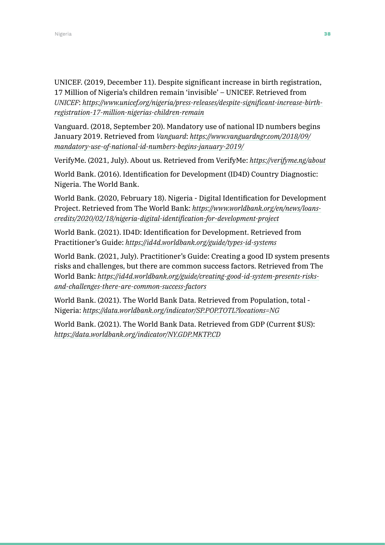UNICEF. (2019, December 11). Despite significant increase in birth registration, 17 Million of Nigeria's children remain 'invisible' – UNICEF. Retrieved from *UNICEF*: *[https://www.unicef.org/nigeria/press-releases/despite-significant-increase-birth](https://www.unicef.org/nigeria/press-releases/despite-significant-increase-birth-registration-17-mil)[registration-17-million-nigerias-children-remain](https://www.unicef.org/nigeria/press-releases/despite-significant-increase-birth-registration-17-mil)*

Vanguard. (2018, September 20). Mandatory use of national ID numbers begins January 2019. Retrieved from *Vanguard*: *[https://www.vanguardngr.com/2018/09/](https://www.vanguardngr.com/2018/09/mandatory-use-of-national-id-numbers-begins-january-2019/) [mandatory-use-of-national-id-numbers-begins-january-2019/](https://www.vanguardngr.com/2018/09/mandatory-use-of-national-id-numbers-begins-january-2019/)*

VerifyMe. (2021, July). About us. Retrieved from VerifyMe: *[https://verifyme.ng/about](https://verifyme.ng/about )*

World Bank. (2016). Identification for Development (ID4D) Country Diagnostic: Nigeria. The World Bank.

World Bank. (2020, February 18). Nigeria - Digital Identification for Development Project. Retrieved from The World Bank: *[https://www.worldbank.org/en/news/loans](https://www.worldbank.org/en/news/loans-credits/2020/02/18/nigeria-digital-identification-for-develo)[credits/2020/02/18/nigeria-digital-identification-for-development-project](https://www.worldbank.org/en/news/loans-credits/2020/02/18/nigeria-digital-identification-for-develo)*

World Bank. (2021). ID4D: Identification for Development. Retrieved from Practitioner's Guide: *<https://id4d.worldbank.org/guide/types-id-systems>*

World Bank. (2021, July). Practitioner's Guide: Creating a good ID system presents risks and challenges, but there are common success factors. Retrieved from The World Bank: *[https://id4d.worldbank.org/guide/creating-good-id-system-presents-risks](https://id4d.worldbank.org/guide/creating-good-id-system-presents-risks-and-challenges-there-are-common-success-factors)[and-challenges-there-are-common-success-factors](https://id4d.worldbank.org/guide/creating-good-id-system-presents-risks-and-challenges-there-are-common-success-factors)*

World Bank. (2021). The World Bank Data. Retrieved from Population, total - Nigeria: *[https://data.worldbank.org/indicator/SP.POP.TOTL?locations=NG](https://data.worldbank.org/indicator/SP.POP.TOTL?locations=NG )*

World Bank. (2021). The World Bank Data. Retrieved from GDP (Current \$US): *[https://data.worldbank.org/indicator/NY.GDP.MKTP.CD](https://data.worldbank.org/indicator/NY.GDP.MKTP.CD )*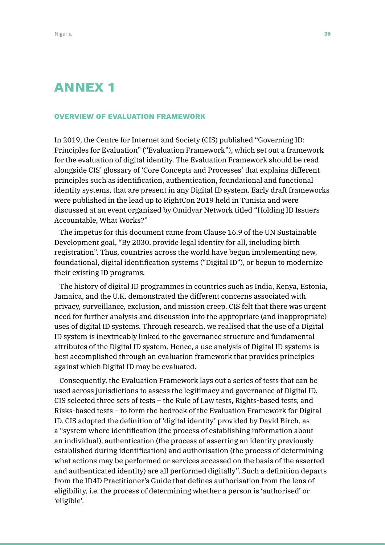# ANNEX 1

#### OVERVIEW OF EVALUATION FRAMEWORK

In 2019, the Centre for Internet and Society (CIS) published "Governing ID: Principles for Evaluation" ("Evaluation Framework"), which set out a framework for the evaluation of digital identity. The Evaluation Framework should be read alongside CIS' glossary of 'Core Concepts and Processes' that explains different principles such as identification, authentication, foundational and functional identity systems, that are present in any Digital ID system. Early draft frameworks were published in the lead up to RightCon 2019 held in Tunisia and were discussed at an event organized by Omidyar Network titled "Holding ID Issuers Accountable, What Works?"

The impetus for this document came from Clause 16.9 of the UN Sustainable Development goal, "By 2030, provide legal identity for all, including birth registration". Thus, countries across the world have begun implementing new, foundational, digital identification systems ("Digital ID"), or begun to modernize their existing ID programs.

The history of digital ID programmes in countries such as India, Kenya, Estonia, Jamaica, and the U.K. demonstrated the different concerns associated with privacy, surveillance, exclusion, and mission creep. CIS felt that there was urgent need for further analysis and discussion into the appropriate (and inappropriate) uses of digital ID systems. Through research, we realised that the use of a Digital ID system is inextricably linked to the governance structure and fundamental attributes of the Digital ID system. Hence, a use analysis of Digital ID systems is best accomplished through an evaluation framework that provides principles against which Digital ID may be evaluated.

Consequently, the Evaluation Framework lays out a series of tests that can be used across jurisdictions to assess the legitimacy and governance of Digital ID. CIS selected three sets of tests – the Rule of Law tests, Rights-based tests, and Risks-based tests – to form the bedrock of the Evaluation Framework for Digital ID. CIS adopted the definition of 'digital identity' provided by David Birch, as a "system where identification (the process of establishing information about an individual), authentication (the process of asserting an identity previously established during identification) and authorisation (the process of determining what actions may be performed or services accessed on the basis of the asserted and authenticated identity) are all performed digitally". Such a definition departs from the ID4D Practitioner's Guide that defines authorisation from the lens of eligibility, i.e. the process of determining whether a person is 'authorised' or 'eligible'.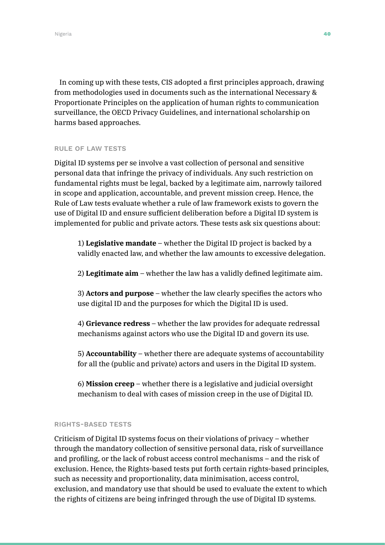In coming up with these tests, CIS adopted a first principles approach, drawing from methodologies used in documents such as the international Necessary & Proportionate Principles on the application of human rights to communication surveillance, the OECD Privacy Guidelines, and international scholarship on harms based approaches.

#### RULE OF LAW TESTS

Digital ID systems per se involve a vast collection of personal and sensitive personal data that infringe the privacy of individuals. Any such restriction on fundamental rights must be legal, backed by a legitimate aim, narrowly tailored in scope and application, accountable, and prevent mission creep. Hence, the Rule of Law tests evaluate whether a rule of law framework exists to govern the use of Digital ID and ensure sufficient deliberation before a Digital ID system is implemented for public and private actors. These tests ask six questions about:

1) **Legislative mandate** – whether the Digital ID project is backed by a validly enacted law, and whether the law amounts to excessive delegation.

2) **Legitimate aim** – whether the law has a validly defined legitimate aim.

3) **Actors and purpose** – whether the law clearly specifies the actors who use digital ID and the purposes for which the Digital ID is used.

4) **Grievance redress** – whether the law provides for adequate redressal mechanisms against actors who use the Digital ID and govern its use.

5) **Accountability** – whether there are adequate systems of accountability for all the (public and private) actors and users in the Digital ID system.

6) **Mission creep** – whether there is a legislative and judicial oversight mechanism to deal with cases of mission creep in the use of Digital ID.

#### RIGHTS-BASED TESTS

Criticism of Digital ID systems focus on their violations of privacy – whether through the mandatory collection of sensitive personal data, risk of surveillance and profiling, or the lack of robust access control mechanisms – and the risk of exclusion. Hence, the Rights-based tests put forth certain rights-based principles, such as necessity and proportionality, data minimisation, access control, exclusion, and mandatory use that should be used to evaluate the extent to which the rights of citizens are being infringed through the use of Digital ID systems.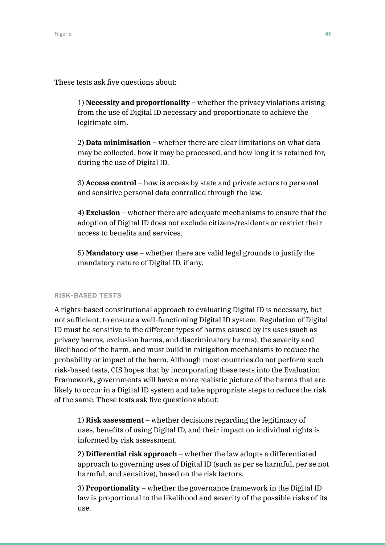These tests ask five questions about:

1) **Necessity and proportionality** – whether the privacy violations arising from the use of Digital ID necessary and proportionate to achieve the legitimate aim.

2) **Data minimisation** – whether there are clear limitations on what data may be collected, how it may be processed, and how long it is retained for, during the use of Digital ID.

3) **Access control** – how is access by state and private actors to personal and sensitive personal data controlled through the law.

4) **Exclusion** – whether there are adequate mechanisms to ensure that the adoption of Digital ID does not exclude citizens/residents or restrict their access to benefits and services.

5) **Mandatory use** – whether there are valid legal grounds to justify the mandatory nature of Digital ID, if any.

#### RISK-BASED TESTS

A rights-based constitutional approach to evaluating Digital ID is necessary, but not sufficient, to ensure a well-functioning Digital ID system. Regulation of Digital ID must be sensitive to the different types of harms caused by its uses (such as privacy harms, exclusion harms, and discriminatory harms), the severity and likelihood of the harm, and must build in mitigation mechanisms to reduce the probability or impact of the harm. Although most countries do not perform such risk-based tests, CIS hopes that by incorporating these tests into the Evaluation Framework, governments will have a more realistic picture of the harms that are likely to occur in a Digital ID system and take appropriate steps to reduce the risk of the same. These tests ask five questions about:

1) **Risk assessment** – whether decisions regarding the legitimacy of uses, benefits of using Digital ID, and their impact on individual rights is informed by risk assessment.

2) **Differential risk approach** – whether the law adopts a differentiated approach to governing uses of Digital ID (such as per se harmful, per se not harmful, and sensitive), based on the risk factors.

3) **Proportionality** – whether the governance framework in the Digital ID law is proportional to the likelihood and severity of the possible risks of its use.